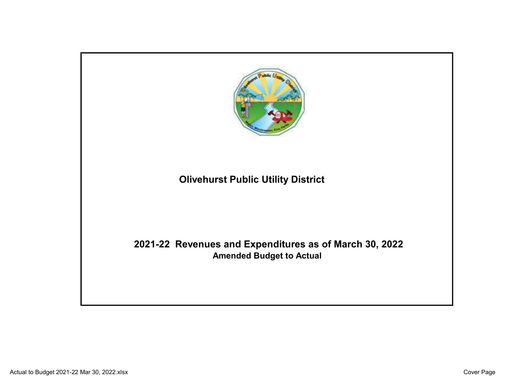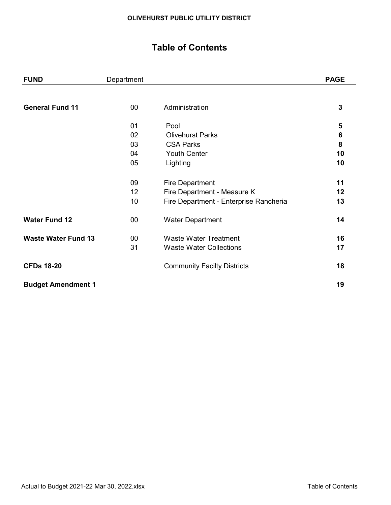# Table of Contents

| <b>FUND</b>                | Department |                                        | <b>PAGE</b> |
|----------------------------|------------|----------------------------------------|-------------|
|                            |            |                                        |             |
| <b>General Fund 11</b>     | $00\,$     | Administration                         | 3           |
|                            | 01         | Pool                                   | 5           |
|                            | 02         | <b>Olivehurst Parks</b>                | 6           |
|                            | 03         | <b>CSA Parks</b>                       | 8           |
|                            | 04         | <b>Youth Center</b>                    | 10          |
|                            | 05         | Lighting                               | 10          |
|                            | 09         | <b>Fire Department</b>                 | 11          |
|                            | 12         | Fire Department - Measure K            | 12          |
|                            | 10         | Fire Department - Enterprise Rancheria | 13          |
| <b>Water Fund 12</b>       | $00\,$     | <b>Water Department</b>                | 14          |
| <b>Waste Water Fund 13</b> | 00         | <b>Waste Water Treatment</b>           | 16          |
|                            | 31         | <b>Waste Water Collections</b>         | 17          |
| <b>CFDs 18-20</b>          |            | <b>Community Facilty Districts</b>     | 18          |
| <b>Budget Amendment 1</b>  |            |                                        | 19          |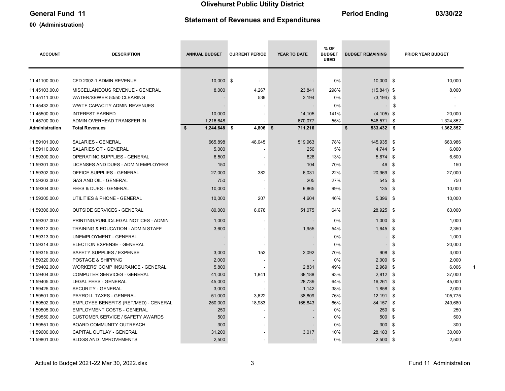### General Fund 11 03/30/22

#### 00 (Administration)

# Statement of Revenues and Expenditures

| <b>ACCOUNT</b> | <b>DESCRIPTION</b>                       | <b>ANNUAL BUDGET</b> | <b>CURRENT PERIOD</b>    | YEAR TO DATE | % OF<br><b>BUDGET</b><br><b>USED</b> | <b>BUDGET REMAINING</b> |          | <b>PRIOR YEAR BUDGET</b> |
|----------------|------------------------------------------|----------------------|--------------------------|--------------|--------------------------------------|-------------------------|----------|--------------------------|
| 11.41100.00.0  | CFD 2002-1 ADMIN REVENUE                 | 10.000 \$            | $\sim$                   |              | 0%                                   | $10.000$ \$             |          | 10.000                   |
|                |                                          |                      |                          |              |                                      |                         |          |                          |
| 11.45103.00.0  | MISCELLANEOUS REVENUE - GENERAL          | 8,000                | 4,267                    | 23,841       | 298%                                 | $(15, 841)$ \$          |          | 8,000                    |
| 11.45111.00.0  | WATER/SEWER 50/50 CLEARING               |                      | 539                      | 3,194        | 0%                                   | $(3, 194)$ \$           |          |                          |
| 11.45432.00.0  | WWTF CAPACITY ADMIN REVENUES             |                      |                          |              | 0%                                   |                         | \$       |                          |
| 11.45500.00.0  | <b>INTEREST EARNED</b>                   | 10,000               |                          | 14,105       | 141%                                 | $(4, 105)$ \$           |          | 20,000                   |
| 11.45700.00.0  | ADMIN OVERHEAD TRANSFER IN               | 1,216,648            | $\overline{\phantom{a}}$ | 670,077      | 55%                                  | 546,571 \$              |          | 1,324,852                |
| Administration | <b>Total Revenues</b>                    | 1,244,648 \$<br>\$   | $4,806$ \$               | 711,216      |                                      | \$<br>533,432 \$        |          | 1,362,852                |
| 11.59101.00.0  | <b>SALARIES - GENERAL</b>                | 665,898              | 48,045                   | 519,963      | 78%                                  | 145,935 \$              |          | 663,986                  |
| 11.59110.00.0  | SALARIES OT - GENERAL                    | 5,000                |                          | 256          | 5%                                   | 4,744                   | \$       | 6,000                    |
| 11.59300.00.0  | <b>OPERATING SUPPLIES - GENERAL</b>      | 6,500                |                          | 826          | 13%                                  | $5,674$ \$              |          | 6,500                    |
| 11.59301.00.0  | LICENSES AND DUES - ADMIN EMPLOYEES      | 150                  | $\overline{\phantom{a}}$ | 104          | 70%                                  | 46                      | \$       | 150                      |
| 11.59302.00.0  | <b>OFFICE SUPPLIES - GENERAL</b>         | 27,000               | 382                      | 6,031        | 22%                                  | 20,969                  | - \$     | 27,000                   |
| 11.59303.00.0  | <b>GAS AND OIL - GENERAL</b>             | 750                  | $\overline{\phantom{a}}$ | 205          | 27%                                  | 545                     | \$       | 750                      |
| 11.59304.00.0  | <b>FEES &amp; DUES - GENERAL</b>         | 10,000               | $\overline{\phantom{a}}$ | 9,865        | 99%                                  | 135                     | - \$     | 10,000                   |
| 11.59305.00.0  | UTILITIES & PHONE - GENERAL              | 10,000               | 207                      | 4,604        | 46%                                  | 5,396 \$                |          | 10,000                   |
| 11.59306.00.0  | <b>OUTSIDE SERVICES - GENERAL</b>        | 80,000               | 8,678                    | 51,075       | 64%                                  | 28,925 \$               |          | 63,000                   |
| 11.59307.00.0  | PRINTING/PUBLIC/LEGAL NOTICES - ADMIN    | 1,000                | $\overline{\phantom{a}}$ |              | 0%                                   | $1,000$ \$              |          | 1,000                    |
| 11.59312.00.0  | TRAINING & EDUCATION - ADMIN STAFF       | 3,600                |                          | 1,955        | 54%                                  | $1,645$ \$              |          | 2,350                    |
| 11.59313.00.0  | UNEMPLOYMENT - GENERAL                   |                      |                          |              | 0%                                   |                         | \$       | 1,000                    |
| 11.59314.00.0  | ELECTION EXPENSE - GENERAL               |                      |                          |              | 0%                                   |                         | \$       | 20,000                   |
| 11.59315.00.0  | SAFETY SUPPLIES / EXPENSE                | 3,000                | 153                      | 2,092        | 70%                                  | 908                     | - \$     | 3,000                    |
| 11.59320.00.0  | POSTAGE & SHIPPING                       | 2,000                | $\overline{\phantom{a}}$ |              | 0%                                   | 2,000                   | - \$     | 2,000                    |
| 11.59402.00.0  | <b>WORKERS' COMP INSURANCE - GENERAL</b> | 5,800                |                          | 2,831        | 49%                                  | 2,969                   | ∣\$      | 6,006                    |
| 11.59404.00.0  | COMPUTER SERVICES - GENERAL              | 41,000               | 1,841                    | 38,188       | 93%                                  | $2,812$ \$              |          | 37,000                   |
| 11.59405.00.0  | <b>LEGAL FEES - GENERAL</b>              | 45,000               |                          | 28,739       | 64%                                  | 16,261                  | \$       | 45,000                   |
| 11.59425.00.0  | <b>SECURITY - GENERAL</b>                | 3,000                |                          | 1,142        | 38%                                  | 1,858                   | <b>S</b> | 2,000                    |
| 11.59501.00.0  | PAYROLL TAXES - GENERAL                  | 51,000               | 3,622                    | 38,809       | 76%                                  | 12,191                  | \$       | 105,775                  |
| 11.59502.00.0  | EMPLOYEE BENEFITS (RET/MED) - GENERAL    | 250,000              | 18,983                   | 165,843      | 66%                                  | 84,157 \$               |          | 249,680                  |
| 11.59505.00.0  | <b>EMPLOYMENT COSTS - GENERAL</b>        | 250                  |                          |              | 0%                                   | 250                     | \$       | 250                      |
| 11.59550.00.0  | <b>CUSTOMER SERVICE / SAFETY AWARDS</b>  | 500                  |                          |              | 0%                                   | 500                     | \$       | 500                      |
| 11.59551.00.0  | <b>BOARD COMMUNITY OUTREACH</b>          | 300                  |                          |              | 0%                                   | 300                     | \$       | 300                      |
| 11.59600.00.0  | CAPITAL OUTLAY - GENERAL                 | 31,200               |                          | 3,017        | 10%                                  | 28,183                  | - \$     | 30,000                   |
| 11.59801.00.0  | <b>BLDGS AND IMPROVEMENTS</b>            | 2,500                |                          |              | 0%                                   | $2,500$ \$              |          | 2,500                    |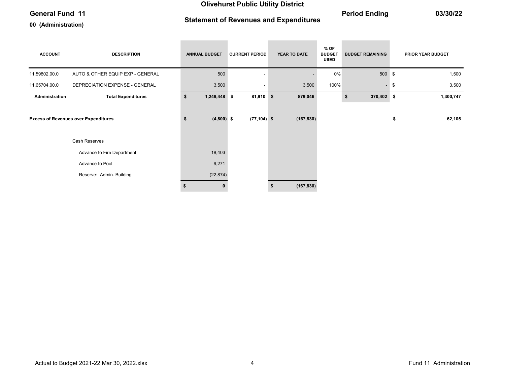### General Fund 11 03/30/22

00 (Administration)

# Statement of Revenues and Expenditures

| <b>ACCOUNT</b> | <b>DESCRIPTION</b>                          | <b>ANNUAL BUDGET</b> | <b>CURRENT PERIOD</b> | YEAR TO DATE | $%$ OF<br><b>BUDGET</b><br><b>USED</b> | <b>BUDGET REMAINING</b> | <b>PRIOR YEAR BUDGET</b> |
|----------------|---------------------------------------------|----------------------|-----------------------|--------------|----------------------------------------|-------------------------|--------------------------|
| 11.59802.00.0  | AUTO & OTHER EQUIP EXP - GENERAL            | 500                  |                       |              | 0%                                     | 500 \$                  | 1,500                    |
| 11.65704.00.0  | DEPRECIATION EXPENSE - GENERAL              | 3,500                |                       | 3,500        | 100%                                   | $\sim$                  | \$<br>3,500              |
| Administration | <b>Total Expenditures</b>                   | \$<br>1,249,448 \$   | $81,910$ \$           | 879,046      |                                        | 370,402 \$<br>\$        | 1,300,747                |
|                | <b>Excess of Revenues over Expenditures</b> | \$<br>$(4,800)$ \$   | $(77, 104)$ \$        | (167, 830)   |                                        |                         | \$<br>62,105             |
|                | Cash Reserves                               |                      |                       |              |                                        |                         |                          |
|                | Advance to Fire Department                  | 18,403               |                       |              |                                        |                         |                          |
|                | Advance to Pool                             | 9,271                |                       |              |                                        |                         |                          |
|                | Reserve: Admin. Building                    | (22, 874)            |                       |              |                                        |                         |                          |
|                |                                             |                      |                       | (167, 830)   |                                        |                         |                          |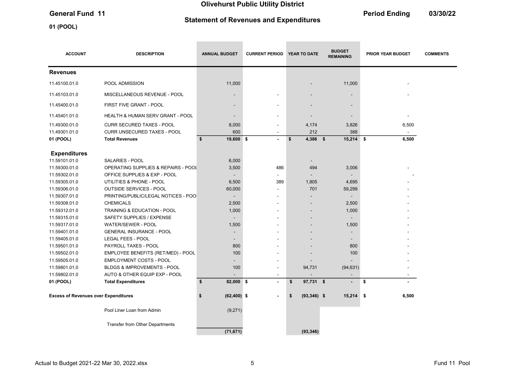# Statement of Revenues and Expenditures

01 (POOL)

General Fund 11 **Contract 11** Contract 12 Contract 2016 12 Contract 2016 12 Contract 2016 12 Contract 2016 12 Contract 2016 12 Contract 2016 12 Contract 2016 12 Contract 2016 12 Contract 2016 12 Contract 2016 12 Contract 2

| <b>ACCOUNT</b>                              | <b>DESCRIPTION</b>                     | <b>ANNUAL BUDGET</b>     | <b>CURRENT PERIOD</b>    | YEAR TO DATE         | <b>BUDGET</b><br><b>REMAINING</b> | <b>PRIOR YEAR BUDGET</b> | <b>COMMENTS</b> |
|---------------------------------------------|----------------------------------------|--------------------------|--------------------------|----------------------|-----------------------------------|--------------------------|-----------------|
| <b>Revenues</b>                             |                                        |                          |                          |                      |                                   |                          |                 |
| 11.45100.01.0                               | POOL ADMISSION                         | 11,000                   |                          |                      | 11,000                            |                          |                 |
| 11.45103.01.0                               | MISCELLANEOUS REVENUE - POOL           |                          |                          |                      |                                   |                          |                 |
| 11.45400.01.0                               | FIRST FIVE GRANT - POOL                | $\overline{\phantom{a}}$ |                          |                      |                                   |                          |                 |
| 11.45401.01.0                               | HEALTH & HUMAN SERV GRANT - POOL       | $\overline{\phantom{a}}$ |                          |                      |                                   |                          |                 |
| 11.49300.01.0                               | <b>CURR SECURED TAXES - POOL</b>       | 8,000                    | ٠                        | 4,174                | 3,826                             | 6,500                    |                 |
| 11.49301.01.0                               | CURR UNSECURED TAXES - POOL            | 600                      |                          | 212                  | 388                               |                          |                 |
| 01 (POOL)                                   | <b>Total Revenues</b>                  | \$<br>19,600 \$          | $\blacksquare$           | 4,386 \$<br>\$       | $15,214$ \$                       | 6,500                    |                 |
| <b>Expenditures</b>                         |                                        |                          |                          |                      |                                   |                          |                 |
| 11.59101.01.0                               | SALARIES - POOL                        | 6,000                    |                          |                      |                                   |                          |                 |
| 11.59300.01.0                               | OPERATING SUPPLIES & REPAIRS - POOL    | 3,500                    | 486                      | 494                  | 3,006                             |                          |                 |
| 11.59302.01.0                               | OFFICE SUPPLIES & EXP - POOL           |                          | $\blacksquare$           |                      |                                   |                          |                 |
| 11.59305.01.0                               | UTILITIES & PHONE - POOL               | 6,500                    | 389                      | 1,805                | 4,695                             |                          |                 |
| 11.59306.01.0                               | OUTSIDE SERVICES - POOL                | 60,000                   |                          | 701                  | 59,299                            |                          |                 |
| 11.59307.01.0                               | PRINTING/PUBLIC/LEGAL NOTICES - POO    | $\overline{\phantom{a}}$ |                          |                      | $\overline{\phantom{a}}$          |                          |                 |
| 11.59308.01.0                               | <b>CHEMICALS</b>                       | 2,500                    | ٠                        |                      | 2,500                             |                          |                 |
| 11.59312.01.0                               | TRAINING & EDUCATION - POOL            | 1,000                    |                          |                      | 1,000                             |                          |                 |
| 11.59315.01.0                               | SAFETY SUPPLIES / EXPENSE              |                          |                          |                      |                                   |                          |                 |
| 11.59317.01.0                               | WATER/SEWER - POOL                     | 1,500                    |                          |                      | 1,500                             |                          |                 |
| 11.59401.01.0                               | <b>GENERAL INSURANCE - POOL</b>        |                          |                          |                      |                                   |                          |                 |
| 11.59405.01.0                               | LEGAL FEES - POOL                      |                          |                          |                      |                                   |                          |                 |
| 11.59501.01.0                               | PAYROLL TAXES - POOL                   | 800                      |                          |                      | 800                               |                          |                 |
| 11.59502.01.0                               | EMPLOYEE BENEFITS (RET/MED) - POOL     | 100                      |                          |                      | 100                               |                          |                 |
| 11.59505.01.0                               | <b>EMPLOYMENT COSTS - POOL</b>         |                          |                          |                      |                                   |                          |                 |
| 11.59801.01.0                               | <b>BLDGS &amp; IMPROVEMENTS - POOL</b> | 100                      |                          | 94,731               | (94, 631)                         |                          |                 |
| 11.59802.01.0                               | AUTO & OTHER EQUIP EXP - POOL          |                          | $\overline{\phantom{a}}$ |                      | $\overline{\phantom{a}}$          | ۰.                       |                 |
| 01 (POOL)                                   | <b>Total Expenditures</b>              | \$<br>82,000 \$          | $\blacksquare$           | 97,731 \$<br>\$      | $\overline{\phantom{a}}$          | \$                       |                 |
| <b>Excess of Revenues over Expenditures</b> |                                        | $(62, 400)$ \$<br>\$     |                          | \$<br>$(93, 346)$ \$ | 15,214                            | ∣\$<br>6,500             |                 |
|                                             | Pool Liner Loan from Admin             | (9,271)                  |                          |                      |                                   |                          |                 |
|                                             | <b>Transfer from Other Departments</b> | (71, 671)                |                          | (93, 346)            |                                   |                          |                 |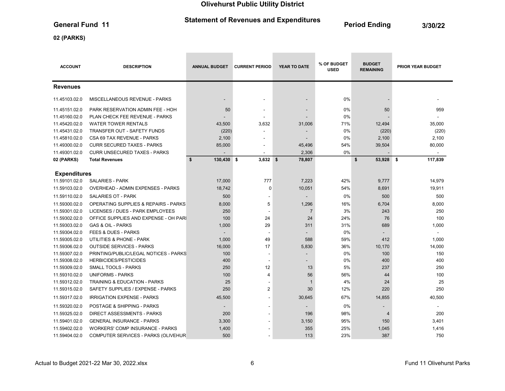# Statement of Revenues and Expenditures<br>
Period Ending 3/30/22

**Contract Contract Contract** 

### 02 (PARKS)

| <b>ACCOUNT</b>      | <b>DESCRIPTION</b>                              | <b>ANNUAL BUDGET</b>     | <b>CURRENT PERIOD</b>    | <b>YEAR TO DATE</b> | % OF BUDGET<br><b>USED</b> | <b>BUDGET</b><br><b>REMAINING</b> | <b>PRIOR YEAR BUDGET</b> |
|---------------------|-------------------------------------------------|--------------------------|--------------------------|---------------------|----------------------------|-----------------------------------|--------------------------|
| <b>Revenues</b>     |                                                 |                          |                          |                     |                            |                                   |                          |
| 11.45103.02.0       | <b>MISCELLANEOUS REVENUE - PARKS</b>            | $\overline{\phantom{a}}$ | $\overline{\phantom{a}}$ | $\blacksquare$      | $0\%$                      |                                   |                          |
| 11.45151.02.0       | PARK RESERVATION ADMIN FEE - HOH                | 50                       |                          |                     | 0%                         | 50                                | 959                      |
| 11.45160.02.0       | PLAN CHECK FEE REVENUE - PARKS                  |                          |                          |                     | 0%                         |                                   |                          |
| 11.45420.02.0       | <b>WATER TOWER RENTALS</b>                      | 43,500                   | 3,632                    | 31,006              | 71%                        | 12,494                            | 35,000                   |
| 11.45431.02.0       | TRANSFER OUT - SAFETY FUNDS                     | (220)                    |                          |                     | 0%                         | (220)                             | (220)                    |
| 11.45810.02.0       | CSA 69 TAX REVENUE - PARKS                      | 2,100                    | $\overline{\phantom{a}}$ |                     | 0%                         | 2,100                             | 2,100                    |
| 11.49300.02.0       | <b>CURR SECURED TAXES - PARKS</b>               | 85,000                   |                          | 45,496              | 54%                        | 39,504                            | 80,000                   |
| 11.49301.02.0       | <b>CURR UNSECURED TAXES - PARKS</b>             |                          |                          | 2,306               | 0%                         |                                   |                          |
| 02 (PARKS)          | <b>Total Revenues</b>                           | \$<br>130,430 \$         | $3,632$ \$               | 78,807              |                            | \$<br>53,928                      | 117,839<br>-\$           |
|                     |                                                 |                          |                          |                     |                            |                                   |                          |
| <b>Expenditures</b> |                                                 |                          |                          |                     |                            |                                   |                          |
| 11.59101.02.0       | <b>SALARIES - PARK</b>                          | 17,000                   | 777                      | 7,223               | 42%                        | 9,777                             | 14,979                   |
| 11.59103.02.0       | OVERHEAD - ADMIN EXPENSES - PARKS               | 18,742                   | $\mathbf 0$              | 10,051              | 54%                        | 8,691                             | 19,911                   |
| 11.59110.02.0       | <b>SALARIES OT - PARK</b>                       | 500                      |                          |                     | 0%                         | 500                               | 500                      |
| 11.59300.02.0       | <b>OPERATING SUPPLIES &amp; REPAIRS - PARKS</b> | 8,000                    | 5                        | 1,296               | 16%                        | 6,704                             | 8,000                    |
| 11.59301.02.0       | LICENSES / DUES - PARK EMPLOYEES                | 250                      |                          | $\overline{7}$      | 3%                         | 243                               | 250                      |
| 11.59302.02.0       | OFFICE SUPPLIES AND EXPENSE - OH PAR            | 100                      | 24                       | 24                  | 24%                        | 76                                | 100                      |
| 11.59303.02.0       | <b>GAS &amp; OIL - PARKS</b>                    | 1,000                    | 29                       | 311                 | 31%                        | 689                               | 1,000                    |
| 11.59304.02.0       | <b>FEES &amp; DUES - PARKS</b>                  |                          |                          |                     | 0%                         |                                   |                          |
| 11.59305.02.0       | UTILITIES & PHONE - PARK                        | 1,000                    | 49                       | 588                 | 59%                        | 412                               | 1,000                    |
| 11.59306.02.0       | <b>OUTSIDE SERVICES - PARKS</b>                 | 16,000                   | 17                       | 5,830               | 36%                        | 10,170                            | 14,000                   |
| 11.59307.02.0       | PRINTING/PUBLIC/LEGAL NOTICES - PARKS           | 100                      | $\blacksquare$           |                     | 0%                         | 100                               | 150                      |
| 11.59308.02.0       | <b>HERBICIDES/PESTICIDES</b>                    | 400                      |                          |                     | 0%                         | 400                               | 400                      |
| 11.59309.02.0       | <b>SMALL TOOLS - PARKS</b>                      | 250                      | 12                       | 13                  | 5%                         | 237                               | 250                      |
| 11.59310.02.0       | <b>UNIFORMS - PARKS</b>                         | 100                      | 4                        | 56                  | 56%                        | 44                                | 100                      |
| 11.59312.02.0       | <b>TRAINING &amp; EDUCATION - PARKS</b>         | 25                       |                          | $\mathbf{1}$        | 4%                         | 24                                | 25                       |
| 11.59315.02.0       | SAFETY SUPPLIES / EXPENSE - PARKS               | 250                      | $\overline{2}$           | 30                  | 12%                        | 220                               | 250                      |
| 11.59317.02.0       | <b>IRRIGATION EXPENSE - PARKS</b>               | 45,500                   |                          | 30,645              | 67%                        | 14,855                            | 40,500                   |
| 11.59320.02.0       | POSTAGE & SHIPPING - PARKS                      | $\overline{\phantom{a}}$ |                          |                     | 0%                         | $\overline{\phantom{0}}$          |                          |
| 11.59325.02.0       | <b>DIRECT ASSESSMENTS - PARKS</b>               | 200                      |                          | 196                 | 98%                        | $\overline{4}$                    | 200                      |
| 11.59401.02.0       | <b>GENERAL INSURANCE - PARKS</b>                | 3,300                    |                          | 3,150               | 95%                        | 150                               | 3,401                    |
| 11.59402.02.0       | <b>WORKERS' COMP INSURANCE - PARKS</b>          | 1,400                    |                          | 355                 | 25%                        | 1,045                             | 1,416                    |
| 11.59404.02.0       | COMPUTER SERVICES - PARKS (OLIVEHUR             | 500                      |                          | 113                 | 23%                        | 387                               | 750                      |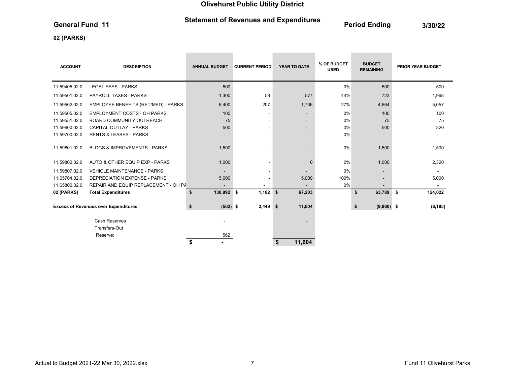# Statement of Revenues and Expenditures<br>
Period Ending 3/30/22

**Contract Contract** 

**Contract Contract Contract** 

### 02 (PARKS)

| <b>ACCOUNT</b> | <b>DESCRIPTION</b>                          | <b>ANNUAL BUDGET</b>     | <b>CURRENT PERIOD</b>    | <b>YEAR TO DATE</b>      | % OF BUDGET<br><b>USED</b> | <b>BUDGET</b><br><b>REMAINING</b> | <b>PRIOR YEAR BUDGET</b> |
|----------------|---------------------------------------------|--------------------------|--------------------------|--------------------------|----------------------------|-----------------------------------|--------------------------|
| 11.59405.02.0  | <b>LEGAL FEES - PARKS</b>                   | 500                      |                          | $\overline{\phantom{a}}$ | 0%                         | 500                               | 500                      |
| 11.59501.02.0  | <b>PAYROLL TAXES - PARKS</b>                | 1,300                    | 58                       | 577                      | 44%                        | 723                               | 1,968                    |
| 11.59502.02.0  | EMPLOYEE BENEFITS (RET/MED) - PARKS         | 6,400                    | 207                      | 1,736                    | 27%                        | 4,664                             | 5,057                    |
| 11.59505.02.0  | <b>EMPLOYMENT COSTS - OH PARKS</b>          | 100                      | $\overline{\phantom{a}}$ | $\overline{\phantom{a}}$ | 0%                         | 100                               | 100                      |
| 11.59551.02.0  | <b>BOARD COMMUNITY OUTREACH</b>             | 75                       | $\overline{\phantom{a}}$ | $\overline{\phantom{a}}$ | 0%                         | 75                                | 75                       |
| 11.59600.02.0  | <b>CAPITAL OUTLAY - PARKS</b>               | 500                      | ۰                        | $\overline{\phantom{a}}$ | 0%                         | 500                               | 320                      |
| 11.59700.02.0  | <b>RENTS &amp; LEASES - PARKS</b>           | $\overline{\phantom{a}}$ | ۰                        | $\overline{\phantom{0}}$ | 0%                         | $\overline{\phantom{0}}$          |                          |
| 11.59801.02.0  | <b>BLDGS &amp; IMPROVEMENTS - PARKS</b>     | 1,500                    |                          | $\overline{\phantom{a}}$ | 0%                         | 1,500                             | 1,500                    |
| 11.59802.02.0  | AUTO & OTHER EQUIP EXP - PARKS              | 1,000                    | $\overline{\phantom{a}}$ | $\mathbf 0$              | 0%                         | 1,000                             | 2,320                    |
| 11.59807.02.0  | <b>VEHICLE MAINTENANCE - PARKS</b>          |                          | $\overline{\phantom{a}}$ |                          | 0%                         | $\overline{\phantom{0}}$          |                          |
| 11.65704.02.0  | <b>DEPRECIATION EXPENSE - PARKS</b>         | 5,000                    |                          | 5,000                    | 100%                       |                                   | 5,000                    |
| 11.65800.02.0  | REPAIR AND EQUIP REPLACEMENT - OH PA        | $\blacksquare$           |                          | $\blacksquare$           | 0%                         |                                   |                          |
| 02 (PARKS)     | <b>Total Expenditures</b>                   | 130,992 \$<br>\$         | 1,182                    | 67,203<br>\$             |                            | \$<br>63,789                      | 124,022<br>\$            |
|                | <b>Excess of Revenues over Expenditures</b> | $(562)$ \$<br>\$         | $2,449$ \$               | 11,604                   |                            | \$<br>$(9,860)$ \$                | (6, 183)                 |
|                | <b>Cash Reserves</b>                        |                          |                          |                          |                            |                                   |                          |
|                | Transfers-Out                               |                          |                          |                          |                            |                                   |                          |
|                | Reserve:                                    | 562                      |                          |                          |                            |                                   |                          |
|                |                                             | \$                       |                          | 11,604<br>\$             |                            |                                   |                          |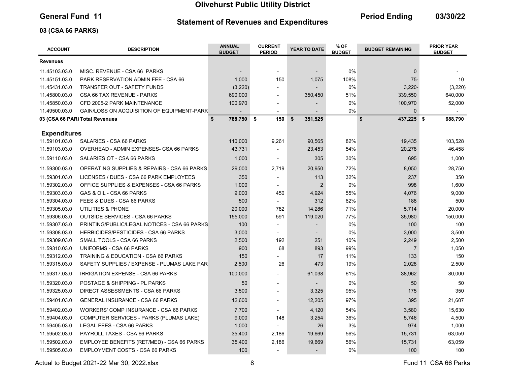#### Statement of Revenues and Expenditures

General Fund 11 **Contains Containers and Economists Containers** Period Ending 03/30/22

### 03 (CSA 66 PARKS)

| <b>ACCOUNT</b>      | <b>DESCRIPTION</b>                            | <b>ANNUAL</b><br><b>BUDGET</b> | <b>CURRENT</b><br><b>PERIOD</b> | YEAR TO DATE   | % OF<br><b>BUDGET REMAINING</b><br><b>BUDGET</b> |                  | <b>PRIOR YEAR</b><br><b>BUDGET</b> |
|---------------------|-----------------------------------------------|--------------------------------|---------------------------------|----------------|--------------------------------------------------|------------------|------------------------------------|
| <b>Revenues</b>     |                                               |                                |                                 |                |                                                  |                  |                                    |
| 11.45103.03.0       | MISC. REVENUE - CSA 66 PARKS                  |                                | $\overline{\phantom{a}}$        |                | 0%                                               | $\mathbf 0$      |                                    |
| 11.45151.03.0       | <b>PARK RESERVATION ADMIN FEE - CSA 66</b>    | 1,000                          | 150                             | 1,075          | 108%                                             | $75 -$           | 10                                 |
| 11.45431.03.0       | <b>TRANSFER OUT - SAFETY FUNDS</b>            | (3,220)                        | $\blacksquare$                  |                | 0%                                               | $3,220 -$        | (3,220)                            |
| 11.45800.03.0       | CSA 66 TAX REVENUE - PARKS                    | 690,000                        | $\blacksquare$                  | 350,450        | 51%                                              | 339,550          | 640,000                            |
| 11.45850.03.0       | CFD 2005-2 PARK MAINTENANCE                   | 100,970                        | $\overline{a}$                  |                | 0%                                               | 100,970          | 52,000                             |
| 11.49500.03.0       | GAIN/LOSS ON ACQUISITION OF EQUIPMENT-PARK    |                                |                                 |                | 0%                                               | $\mathbf{0}$     |                                    |
|                     | 03 (CSA 66 PARI Total Revenues                | \$<br>788,750 \$               | 150                             | \$<br>351,525  |                                                  | \$<br>437,225 \$ | 688,790                            |
| <b>Expenditures</b> |                                               |                                |                                 |                |                                                  |                  |                                    |
| 11.59101.03.0       | SALARIES - CSA 66 PARKS                       | 110,000                        | 9,261                           | 90,565         | 82%                                              | 19,435           | 103,528                            |
| 11.59103.03.0       | OVERHEAD - ADMIN EXPENSES- CSA 66 PARKS       | 43,731                         |                                 | 23,453         | 54%                                              | 20,278           | 46,458                             |
| 11.59110.03.0       | SALARIES OT - CSA 66 PARKS                    | 1,000                          | $\blacksquare$                  | 305            | 30%                                              | 695              | 1,000                              |
| 11.59300.03.0       | OPERATING SUPPLIES & REPAIRS - CSA 66 PARKS   | 29,000                         | 2,719                           | 20,950         | 72%                                              | 8,050            | 28,750                             |
| 11.59301.03.0       | LICENSES / DUES - CSA 66 PARK EMPLOYEES       | 350                            |                                 | 113            | 32%                                              | 237              | 350                                |
| 11.59302.03.0       | OFFICE SUPPLIES & EXPENSES - CSA 66 PARKS     | 1,000                          | $\blacksquare$                  | $\overline{c}$ | 0%                                               | 998              | 1,600                              |
| 11.59303.03.0       | GAS & OIL - CSA 66 PARKS                      | 9,000                          | 450                             | 4,924          | 55%                                              | 4,076            | 9,000                              |
| 11.59304.03.0       | FEES & DUES - CSA 66 PARKS                    | 500                            |                                 | 312            | 62%                                              | 188              | 500                                |
| 11.59305.03.0       | UTILITIES & PHONE                             | 20,000                         | 782                             | 14,286         | 71%                                              | 5,714            | 20,000                             |
| 11.59306.03.0       | <b>OUTSIDE SERVICES - CSA 66 PARKS</b>        | 155,000                        | 591                             | 119,020        | 77%                                              | 35,980           | 150,000                            |
| 11.59307.03.0       | PRINTING/PUBLIC/LEGAL NOTICES - CSA 66 PARKS  | 100                            | $\overline{a}$                  |                | 0%                                               | 100              | 100                                |
| 11.59308.03.0       | <b>HERBICIDES/PESTICIDES - CSA 66 PARKS</b>   | 3,000                          | $\blacksquare$                  |                | 0%                                               | 3,000            | 3,500                              |
| 11.59309.03.0       | SMALL TOOLS - CSA 66 PARKS                    | 2,500                          | 192                             | 251            | 10%                                              | 2,249            | 2,500                              |
| 11.59310.03.0       | UNIFORMS - CSA 66 PARKS                       | 900                            | 68                              | 893            | 99%                                              | $\overline{7}$   | 1,050                              |
| 11.59312.03.0       | TRAINING & EDUCATION - CSA 66 PARKS           | 150                            |                                 | 17             | 11%                                              | 133              | 150                                |
| 11.59315.03.0       | SAFETY SUPPLIES / EXPENSE - PLUMAS LAKE PAR   | 2,500                          | 26                              | 473            | 19%                                              | 2,028            | 2,500                              |
| 11.59317.03.0       | IRRIGATION EXPENSE - CSA 66 PARKS             | 100,000                        |                                 | 61,038         | 61%                                              | 38,962           | 80,000                             |
| 11.59320.03.0       | POSTAGE & SHIPPING - PL PARKS                 | 50                             | $\blacksquare$                  |                | 0%                                               | 50               | 50                                 |
| 11.59325.03.0       | DIRECT ASSESSMENTS - CSA 66 PARKS             | 3,500                          | $\blacksquare$                  | 3,325          | 95%                                              | 175              | 350                                |
| 11.59401.03.0       | <b>GENERAL INSURANCE - CSA 66 PARKS</b>       | 12,600                         | $\blacksquare$                  | 12,205         | 97%                                              | 395              | 21,607                             |
| 11.59402.03.0       | <b>WORKERS' COMP INSURANCE - CSA 66 PARKS</b> | 7,700                          | $\blacksquare$                  | 4,120          | 54%                                              | 3,580            | 15,630                             |
| 11.59404.03.0       | COMPUTER SERVICES - PARKS (PLUMAS LAKE)       | 9,000                          | 148                             | 3,254          | 36%                                              | 5,746            | 4,500                              |
| 11.59405.03.0       | LEGAL FEES - CSA 66 PARKS                     | 1,000                          |                                 | 26             | 3%                                               | 974              | 1,000                              |
| 11.59502.03.0       | PAYROLL TAXES - CSA 66 PARKS                  | 35,400                         | 2,186                           | 19,669         | 56%                                              | 15,731           | 63,059                             |
| 11.59502.03.0       | EMPLOYEE BENEFITS (RET/MED) - CSA 66 PARKS    | 35,400                         | 2,186                           | 19,669         | 56%                                              | 15,731           | 63,059                             |
| 11.59505.03.0       | <b>EMPLOYMENT COSTS - CSA 66 PARKS</b>        | 100                            |                                 | $\overline{a}$ | 0%                                               | 100              | 100                                |

Actual to Budget 2021-22 Mar 30, 2022.xlsx 6 Actual to Budget 2021-22 Mar 30, 2022.xlsx 6 Actual to Budget 2021-22 Mar 30, 2022.xlsx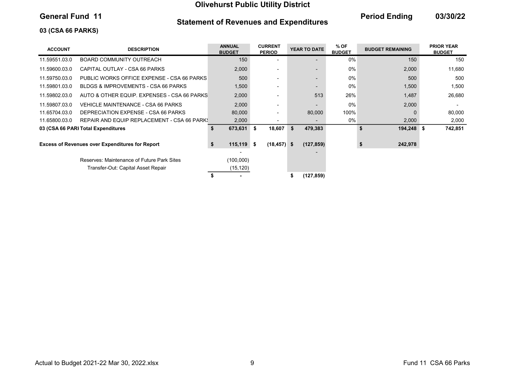### Statement of Revenues and Expenditures

General Fund 11 **Contains Containers and Economists Containers** Period Ending 03/30/22

### 03 (CSA 66 PARKS)

| <b>ACCOUNT</b> | <b>DESCRIPTION</b>                                     | <b>ANNUAL</b><br><b>BUDGET</b> | <b>CURRENT</b><br><b>PERIOD</b> |   | YEAR TO DATE | % OF<br><b>BUDGET</b> | <b>BUDGET REMAINING</b> | <b>PRIOR YEAR</b><br><b>BUDGET</b> |
|----------------|--------------------------------------------------------|--------------------------------|---------------------------------|---|--------------|-----------------------|-------------------------|------------------------------------|
| 11.59551.03.0  | BOARD COMMUNITY OUTREACH                               | 150 <sub>2</sub>               |                                 |   |              | $0\%$                 | 150                     | 150                                |
| 11.59600.03.0  | CAPITAL OUTLAY - CSA 66 PARKS                          | 2,000                          |                                 |   |              | 0%                    | 2,000                   | 11,680                             |
| 11.59750.03.0  | PUBLIC WORKS OFFICE EXPENSE - CSA 66 PARKS             | 500                            |                                 |   |              | $0\%$                 | 500                     | 500                                |
| 11.59801.03.0  | BLDGS & IMPROVEMENTS - CSA 66 PARKS                    | 1,500                          |                                 |   |              | $0\%$                 | 1,500                   | 1,500                              |
| 11.59802.03.0  | AUTO & OTHER EQUIP. EXPENSES - CSA 66 PARKS            | 2,000                          |                                 |   | 513          | 26%                   | 1,487                   | 26,680                             |
| 11.59807.03.0  | VEHICLE MAINTENANCE - CSA 66 PARKS                     | 2,000                          |                                 |   |              | 0%                    | 2,000                   |                                    |
| 11.65704.03.0  | DEPRECIATION EXPENSE - CSA 66 PARKS                    | 80,000                         |                                 |   | 80,000       | 100%                  |                         | 80,000                             |
| 11.65800.03.0  | REPAIR AND EQUIP REPLACEMENT - CSA 66 PARK!            | 2,000                          |                                 |   |              | $0\%$                 | 2,000                   | 2,000                              |
|                | 03 (CSA 66 PARI Total Expenditures                     | 673,631 \$<br>\$               | 18,607                          | S | 479,383      |                       | 194,248 \$<br>S.        | 742,851                            |
|                | <b>Excess of Revenues over Expenditures for Report</b> | \$<br>$115,119$ \$             | $(18, 457)$ \$                  |   | (127, 859)   |                       | 242,978                 |                                    |
|                | Reserves: Maintenance of Future Park Sites             | (100,000)                      |                                 |   |              |                       |                         |                                    |
|                | Transfer-Out: Capital Asset Repair                     | (15, 120)                      |                                 |   |              |                       |                         |                                    |
|                |                                                        |                                |                                 |   | (127,859)    |                       |                         |                                    |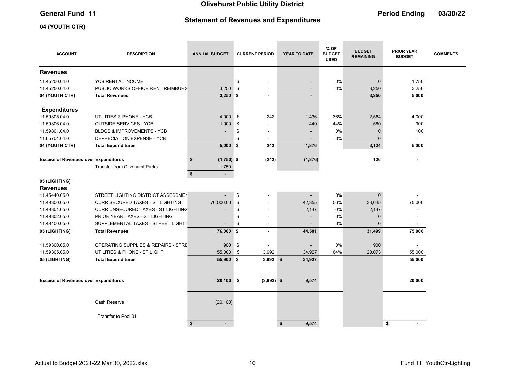# Statement of Revenues and Expenditures

**Contract** 

**Contract Contract** 

the control of the control of

the control of the control of the

# General Fund 11 **Contract Contract Contract Contract Contract Contract Contract Contract Contract Contract Contract Contract Contract Contract Contract Contract Contract Contract Contract Contract Contract Contract Contrac**

### 04 (YOUTH CTR)

| <b>ACCOUNT</b>                              | <b>DESCRIPTION</b>                      | <b>ANNUAL BUDGET</b> | <b>CURRENT PERIOD</b>          | YEAR TO DATE             | % OF<br><b>BUDGET</b><br><b>USED</b> | <b>BUDGET</b><br><b>REMAINING</b> | <b>PRIOR YEAR</b><br><b>BUDGET</b> | <b>COMMENTS</b> |
|---------------------------------------------|-----------------------------------------|----------------------|--------------------------------|--------------------------|--------------------------------------|-----------------------------------|------------------------------------|-----------------|
| <b>Revenues</b>                             |                                         |                      |                                |                          |                                      |                                   |                                    |                 |
| 11.45200.04.0                               | YCB RENTAL INCOME                       |                      | \$<br>÷,                       |                          | 0%                                   | $\mathbf 0$                       | 1,750                              |                 |
| 11.45250.04.0                               | PUBLIC WORKS OFFICE RENT REIMBURS       | 3,250                | \$<br>$\overline{\phantom{a}}$ | $\overline{\phantom{0}}$ | 0%                                   | 3,250                             | 3,250                              |                 |
| 04 (YOUTH CTR)                              | <b>Total Revenues</b>                   | $3,250$ \$           | $\blacksquare$                 |                          |                                      | 3,250                             | 5,000                              |                 |
| <b>Expenditures</b>                         |                                         |                      |                                |                          |                                      |                                   |                                    |                 |
| 11.59305.04.0                               | UTILITIES & PHONE - YCB                 | 4,000                | \$<br>242                      | 1,436                    | 36%                                  | 2,564                             | 4,000                              |                 |
| 11.59306.04.0                               | <b>OUTSIDE SERVICES - YCB</b>           | 1,000                | \$                             | 440                      | 44%                                  | 560                               | 900                                |                 |
| 11.59801.04.0                               | <b>BLDGS &amp; IMPROVEMENTS - YCB</b>   |                      | \$<br>$\blacksquare$           |                          | 0%                                   | $\mathbf 0$                       | 100                                |                 |
| 11.65704.04.0                               | DEPRECIATION EXPENSE - YCB              |                      | \$                             |                          | 0%                                   | $\Omega$                          | $\blacksquare$                     |                 |
| 04 (YOUTH CTR)                              | <b>Total Expenditures</b>               | $5,000$ \$           | 242                            | 1,876                    |                                      | 3,124                             | 5,000                              |                 |
| <b>Excess of Revenues over Expenditures</b> |                                         | $(1,750)$ \$<br>\$   | (242)                          | (1,876)                  |                                      | 126                               |                                    |                 |
|                                             | <b>Transfer from Olivehurst Parks</b>   | 1,750                |                                |                          |                                      |                                   |                                    |                 |
|                                             |                                         | \$<br>$\sim$         |                                |                          |                                      |                                   |                                    |                 |
| 05 (LIGHTING)                               |                                         |                      |                                |                          |                                      |                                   |                                    |                 |
| <b>Revenues</b>                             |                                         |                      |                                |                          |                                      |                                   |                                    |                 |
| 11.45440.05.0                               | STREET LIGHTING DISTRICT ASSESSMEN      |                      | \$                             |                          | 0%                                   | $\pmb{0}$                         |                                    |                 |
| 11.49300.05.0                               | <b>CURR SECURED TAXES - ST LIGHTING</b> | 76,000.00            | \$<br>$\overline{\phantom{a}}$ | 42,355                   | 56%                                  | 33,645                            | 75,000                             |                 |
| 11.49301.05.0                               | CURR UNSECURED TAXES - ST LIGHTING      |                      | \$                             | 2,147                    | 0%                                   | $2,147-$                          |                                    |                 |
| 11.49302.05.0                               | PRIOR YEAR TAXES - ST LIGHTING          |                      | \$                             |                          | 0%                                   | $\pmb{0}$                         |                                    |                 |
| 11.49400.05.0                               | SUPPLEMENTAL TAXES - STREET LIGHTII     |                      | \$<br>$\blacksquare$           |                          | 0%                                   | $\Omega$                          | $\blacksquare$                     |                 |
| 05 (LIGHTING)                               | <b>Total Revenues</b>                   | 76,000 \$            | $\blacksquare$                 | 44,501                   |                                      | 31,499                            | 75,000                             |                 |
| 11.59300.05.0                               | OPERATING SUPPLIES & REPAIRS - STRE     | 900                  | \$                             |                          | 0%                                   | 900                               |                                    |                 |
| 11.59305.05.0                               | UTILITIES & PHONE - ST LIGHT            | 55,000               | \$<br>3,992                    | 34,927                   | 64%                                  | 20,073                            | 55,000                             |                 |
| 05 (LIGHTING)                               | <b>Total Expenditures</b>               | 55,900 \$            | $3,992$ \$                     | 34,927                   |                                      |                                   | 55,000                             |                 |
|                                             |                                         |                      |                                |                          |                                      |                                   |                                    |                 |
| <b>Excess of Revenues over Expenditures</b> |                                         | $20,100$ \$          | $(3,992)$ \$                   | 9,574                    |                                      |                                   | 20,000                             |                 |
|                                             | Cash Reserve                            | (20, 100)            |                                |                          |                                      |                                   |                                    |                 |
|                                             | Transfer to Pool 01                     |                      |                                |                          |                                      |                                   |                                    |                 |
|                                             |                                         | \$                   |                                | \$<br>9,574              |                                      |                                   | \$                                 |                 |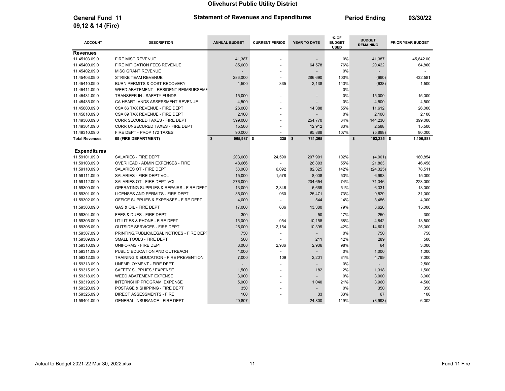General Fund 11 **Period Ending Control Catement of Revenues and Expenditures** Period Ending 03/30/22

| <b>ACCOUNT</b>        | <b>DESCRIPTION</b>                        | <b>ANNUAL BUDGET</b> | <b>CURRENT PERIOD</b>    | YEAR TO DATE  | % OF<br><b>BUDGET</b><br><b>USED</b> | <b>BUDGET</b><br><b>REMAINING</b> | <b>PRIOR YEAR BUDGET</b> |
|-----------------------|-------------------------------------------|----------------------|--------------------------|---------------|--------------------------------------|-----------------------------------|--------------------------|
| <b>Revenues</b>       |                                           |                      |                          |               |                                      |                                   |                          |
| 11.45103.09.0         | <b>FIRE MISC REVENUE</b>                  | 41,387               |                          |               | 0%                                   | 41,387                            | 45,842.00                |
| 11.45400.09.0         | FIRE MITIGATION FEES REVENUE              | 85,000               |                          | 64,578        | 76%                                  | 20,422                            | 84,860                   |
| 11.45402.09.0         | <b>MISC GRANT REVENUE</b>                 | $\overline{a}$       |                          |               | 0%                                   |                                   |                          |
| 11.45403.09.0         | <b>STRIKE TEAM REVENUE</b>                | 286,000              | $\sim$                   | 286,690       | 100%                                 | (690)                             | 432,581                  |
| 11.45410.09.0         | BURN PERMITS & COST RECOVERY              | 1,500                | 335                      | 2,138         | 143%                                 | (638)                             | 1,500                    |
| 11.45411.09.0         | WEED ABATEMENT - RESIDENT REIMBURSEME     |                      |                          |               | 0%                                   |                                   |                          |
| 11.45431.09.0         | TRANSFER IN - SAFETY FUNDS                | 15,000               |                          |               | 0%                                   | 15,000                            | 15,000                   |
| 11.45435.09.0         | CA HEARTLANDS ASSESSMENT REVENUE          | 4,500                | $\overline{\phantom{a}}$ |               | 0%                                   | 4,500                             | 4,500                    |
| 11.45800.09.0         | CSA 66 TAX REVENUE - FIRE DEPT            | 26,000               |                          | 14,388        | 55%                                  | 11,612                            | 26,000                   |
| 11.45810.09.0         | CSA 69 TAX REVENUE - FIRE DEPT            | 2,100                |                          |               | 0%                                   | 2,100                             | 2,100                    |
| 11.49300.09.0         | <b>CURR SECURED TAXES - FIRE DEPT</b>     | 399,000              | $\overline{\phantom{a}}$ | 254,770       | 64%                                  | 144,230                           | 399,000                  |
| 11.49301.09.0         | <b>CURR UNSECURED TAXES - FIRE DEPT</b>   | 15,500               | $\blacksquare$           | 12,912        | 83%                                  | 2,588                             | 15,500                   |
| 11.49310.09.0         | FIRE DEPT - PROP 172 TAXES                | 90,000               | $\sim$                   | 95,888        | 107%                                 | (5,888)                           | 80,000                   |
| <b>Total Revenues</b> | 09 (FIRE DEPARTMENT)                      | \$<br>965,987 \$     | 335                      | \$<br>731,365 |                                      | \$<br>193,235 \$                  | 1,106,883                |
|                       |                                           |                      |                          |               |                                      |                                   |                          |
| <b>Expenditures</b>   |                                           |                      |                          |               |                                      |                                   |                          |
| 11.59101.09.0         | SALARIES - FIRE DEPT                      | 203,000              | 24,590                   | 207,901       | 102%                                 | (4,901)                           | 180,854                  |
| 11.59103.09.0         | <b>OVERHEAD - ADMIN EXPENSES - FIRE</b>   | 48,666               |                          | 26,803        | 55%                                  | 21,863                            | 46,458                   |
| 11.59110.09.0         | SALARIES OT - FIRE DEPT                   | 58,000               | 6,092                    | 82,325        | 142%                                 | (24, 325)                         | 78,511                   |
| 11.59111.09.0         | SALARIES - FIRE DEPT VOL                  | 15,000               | 1,578                    | 8,008         | 53%                                  | 6,993                             | 15,000                   |
| 11.59112.09.0         | SALARIES OT - FIRE DEPT VOL               | 276,000              | ÷                        | 204,654       | 74%                                  | 71,346                            | 223,000                  |
| 11.59300.09.0         | OPERATING SUPPLIES & REPAIRS - FIRE DEPT  | 13,000               | 2,346                    | 6,669         | 51%                                  | 6,331                             | 13,000                   |
| 11.59301.09.0         | LICENSES AND PERMITS - FIRE DEPT          | 35,000               | 960                      | 25,471        | 73%                                  | 9,529                             | 31,000                   |
| 11.59302.09.0         | OFFICE SUPPLIES & EXPENSES - FIRE DEPT    | 4,000                |                          | 544           | 14%                                  | 3,456                             | 4,000                    |
| 11.59303.09.0         | <b>GAS &amp; OIL - FIRE DEPT</b>          | 17,000               | 636                      | 13,380        | 79%                                  | 3,620                             | 15,000                   |
| 11.59304.09.0         | FEES & DUES - FIRE DEPT                   | 300                  |                          | 50            | 17%                                  | 250                               | 300                      |
| 11.59305.09.0         | UTILITIES & PHONE - FIRE DEPT             | 15,000               | 954                      | 10,158        | 68%                                  | 4,842                             | 13,500                   |
| 11.59306.09.0         | <b>OUTSIDE SERVICES - FIRE DEPT</b>       | 25,000               | 2,154                    | 10,399        | 42%                                  | 14,601                            | 25,000                   |
| 11.59307.09.0         | PRINTING/PUBLIC/LEGAL NOTICES - FIRE DEPT | 750                  |                          |               | 0%                                   | 750                               | 750                      |
| 11.59309.09.0         | SMALL TOOLS - FIRE DEPT                   | 500                  |                          | 211           | 42%                                  | 289                               | 500                      |
| 11.59310.09.0         | UNIFORMS - FIRE DEPT                      | 3,000                | 2,936                    | 2,936         | 98%                                  | 64                                | 3,000                    |
| 11.59311.09.0         | PUBLIC EDUCATION AND OUTREACH             | 1,000                | $\overline{\phantom{a}}$ |               | 0%                                   | 1,000                             | 1,000                    |
| 11.59312.09.0         | TRAINING & EDUCATION - FIRE PREVENTION    | 7,000                | 109                      | 2,201         | 31%                                  | 4,799                             | 7,000                    |
| 11.59313.09.0         | UNEMPLOYMENT - FIRE DEPT                  |                      |                          |               | 0%                                   |                                   | 2,500                    |
| 11.59315.09.0         | SAFETY SUPPLIES / EXPENSE                 | 1,500                |                          | 182           | 12%                                  | 1,318                             | 1,500                    |
| 11.59318.09.0         | <b>WEED ABATEMENT EXPENSE</b>             | 3,000                |                          |               | 0%                                   | 3,000                             | 3,000                    |
| 11.59319.09.0         | <b>INTERNSHIP PROGRAM EXPENSE</b>         | 5,000                |                          | 1,040         | 21%                                  | 3,960                             | 4,500                    |
| 11.59320.09.0         | POSTAGE & SHIPPING - FIRE DEPT            | 350                  |                          |               | 0%                                   | 350                               | 350                      |
| 11.59325.09.0         | DIRECT ASSESSMENTS - FIRE                 | 100                  |                          | 33            | 33%                                  | 67                                | 100                      |
| 11.59401.09.0         | <b>GENERAL INSURANCE - FIRE DEPT</b>      | 20,807               | $\sim$                   | 24,800        | 119%                                 | (3,993)                           | 6,002                    |

09,12 & 14 (Fire)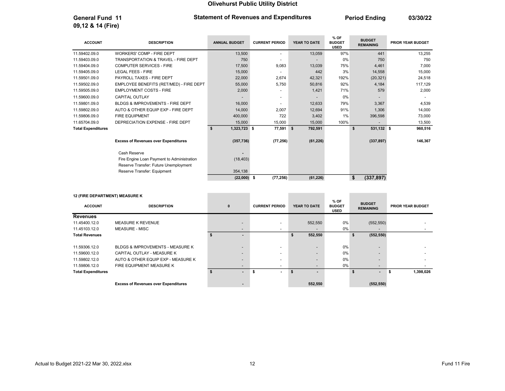General Fund 11 **Period Ending 11** Statement of Revenues and Expenditures **Period Ending 13/30/22** 

| <b>ACCOUNT</b>            | <b>DESCRIPTION</b>                          | <b>ANNUAL BUDGET</b> | <b>CURRENT PERIOD</b> | YEAR TO DATE | % OF<br><b>BUDGET</b><br><b>USED</b> | <b>BUDGET</b><br><b>REMAINING</b> | <b>PRIOR YEAR BUDGET</b> |
|---------------------------|---------------------------------------------|----------------------|-----------------------|--------------|--------------------------------------|-----------------------------------|--------------------------|
| 11.59402.09.0             | <b>WORKERS' COMP - FIRE DEPT</b>            | 13,500               |                       | 13,059       | 97%                                  | 441                               | 13,255                   |
| 11.59403.09.0             | TRANSPORTATION & TRAVEL - FIRE DEPT         | 750                  |                       |              | 0%                                   | 750                               | 750                      |
| 11.59404.09.0             | <b>COMPUTER SERVICES - FIRE</b>             | 17,500               | 9,083                 | 13,039       | 75%                                  | 4,461                             | 7,000                    |
| 11.59405.09.0             | <b>LEGAL FEES - FIRE</b>                    | 15,000               |                       | 442          | 3%                                   | 14,558                            | 15,000                   |
| 11.59501.09.0             | PAYROLL TAXES - FIRE DEPT                   | 22,000               | 2,674                 | 42,321       | 192%                                 | (20, 321)                         | 24,518                   |
| 11.59502.09.0             | EMPLOYEE BENEFITS (RET/MED) - FIRE DEPT     | 55,000               | 5,750                 | 50,816       | 92%                                  | 4,184                             | 117,129                  |
| 11.59505.09.0             | <b>EMPLOYMENT COSTS - FIRE</b>              | 2,000                |                       | 1,421        | 71%                                  | 579                               | 2,000                    |
| 11.59600.09.0             | <b>CAPITAL OUTLAY</b>                       |                      | ٠                     |              | 0%                                   |                                   |                          |
| 11.59801.09.0             | BLDGS & IMPROVEMENTS - FIRE DEPT            | 16,000               |                       | 12,633       | 79%                                  | 3.367                             | 4,539                    |
| 11.59802.09.0             | AUTO & OTHER EQUIP EXP - FIRE DEPT          | 14,000               | 2,007                 | 12,694       | 91%                                  | 1,306                             | 14,000                   |
| 11.59806.09.0             | <b>FIRE EQUIPMENT</b>                       | 400,000              | 722                   | 3,402        | 1%                                   | 396,598                           | 73,000                   |
| 11.65704.09.0             | DEPRECIATION EXPENSE - FIRE DEPT            | 15,000               | 15,000                | 15,000       | 100%                                 |                                   | 13,500                   |
| <b>Total Expenditures</b> |                                             | 1,323,723 \$<br>s    | 77,591 \$             | 792,591      |                                      | 531,132 \$<br>\$                  | 960,516                  |
|                           | <b>Excess of Revenues over Expenditures</b> | (357, 736)           | (77, 256)             | (61, 226)    |                                      | (337, 897)                        | 146,367                  |
|                           | Cash Reserve                                |                      |                       |              |                                      |                                   |                          |
|                           | Fire Engine Loan Payment to Administration  | (18, 403)            |                       |              |                                      |                                   |                          |
|                           | Reserve Transfer: Future Unemployment       |                      |                       |              |                                      |                                   |                          |
|                           | Reserve Transfer: Equipment                 | 354,138              |                       |              |                                      |                                   |                          |
|                           |                                             | $(22,000)$ \$        | (77, 256)             | (61, 226)    |                                      | \$<br>(337, 897)                  |                          |

#### 12 (FIRE DEPARTMENT) MEASURE K

09,12 & 14 (Fire)

| 12 (FIRE DEPARTMENT) MEASURE K |                                             |                          |                          |                |                                      |                                   |                          |
|--------------------------------|---------------------------------------------|--------------------------|--------------------------|----------------|--------------------------------------|-----------------------------------|--------------------------|
| <b>ACCOUNT</b>                 | <b>DESCRIPTION</b>                          | $\mathbf{0}$             | <b>CURRENT PERIOD</b>    | YEAR TO DATE   | % OF<br><b>BUDGET</b><br><b>USED</b> | <b>BUDGET</b><br><b>REMAINING</b> | <b>PRIOR YEAR BUDGET</b> |
| <b>Revenues</b>                |                                             |                          |                          |                |                                      |                                   |                          |
| 11.45400.12.0                  | <b>MEASURE K REVENUE</b>                    | $\overline{\phantom{a}}$ |                          | 552,550        | 0%                                   | (552, 550)                        |                          |
| 11.45103.12.0                  | <b>MEASURE - MISC</b>                       | $\overline{\phantom{0}}$ | $\overline{\phantom{0}}$ |                | 0%                                   | $\overline{\phantom{0}}$          |                          |
| <b>Total Revenues</b>          |                                             |                          |                          | 552,550        |                                      | (552, 550)<br>\$                  |                          |
| 11.59306.12.0                  | BLDGS & IMPROVEMENTS - MEASURE K            | $\overline{\phantom{0}}$ |                          |                | 0%                                   | $\overline{\phantom{0}}$          |                          |
| 11.59600.12.0                  | CAPITAL OUTLAY - MEASURE K                  | $\overline{\phantom{0}}$ | $\overline{\phantom{0}}$ | $\overline{a}$ | 0%                                   | $\overline{\phantom{a}}$          |                          |
| 11.59802.12.0                  | AUTO & OTHER EQUIP EXP - MEASURE K          | $\overline{\phantom{0}}$ |                          |                | 0%                                   |                                   |                          |
| 11.59806.12.0                  | FIRE EQUIPMENT MEASURE K                    | $\overline{\phantom{0}}$ | $\overline{\phantom{0}}$ |                | 0%                                   | $\overline{\phantom{a}}$          |                          |
| <b>Total Expenditures</b>      |                                             | ۰.                       | $\sim$                   | \$.            |                                      | S                                 | 1,398,026                |
|                                | <b>Excess of Revenues over Expenditures</b> |                          |                          | 552,550        |                                      | (552, 550)                        |                          |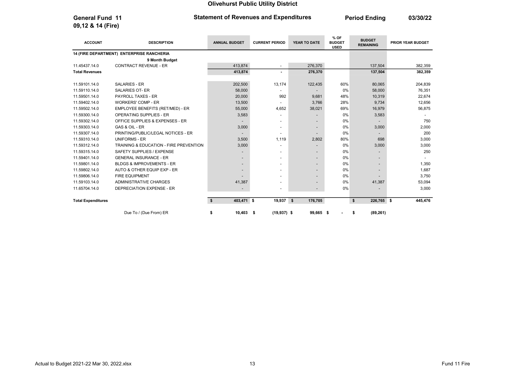09,12 & 14 (Fire)

#### General Fund 11 **Period Ending 11** Statement of Revenues and Expenditures **Period Ending 193/30/22**

ACCOUNT DESCRIPTION ANNUAL BUDGET CURRENT PERIOD YEAR TO DATE % OF BUDGET USED **BUDGET**<br>REMAINING PRIOR YEAR BUDGET 14 (FIRE DEPARTMENT) ENTERPRISE RANCHERIA 9 Month Budget 11.45437.14.0 CONTRACT REVENUE - ER 413,874 413,874 276,370 137,504 382,359 Total Revenues 413,874 - 276,370 137,504 382,359 11.59101.14.0 SALARIES - ER 202,500 13,174 122,435 60% 80,065 204,839 11.59110.14.0 SALARIES OT- ER 58,000 - - 0% 58,000 76,351 11.59501.14.0 PAYROLL TAXES - ER 20,000 992 9,681 48% 10,319 22,674 11.59402.14.0 WORKERS' COMP - ER 12,656 13,500 - 3,766 28% 9,734 12,656 28% 9,734 11.59502.14.0 EMPLOYEE BENEFITS (RET/MED) - ER 55,000 4,652 38,021 69% 16,979 56,875 11.59300.14.0 OPERATING SUPPLIES - ER 3,583 - - 0% 3,583 - - 0% 3,583 - - 0% 3,583 11.59302.14.0 OFFICE SUPPLIES & EXPENSES - ER - - - 0% - 750 11.59303.14.0 GAS & OIL - ER 3,000 - - 0% 3,000 2,000 11.59307.14.0 PRINTING/PUBLIC/LEGAL NOTICES - ER - - - 0% - 200 11.59310.14.0 UNIFORMS - ER 3,500 1,119 2,802 80% 698 3,000 11.59312.14.0 TRAINING & EDUCATION - FIRE PREVENTION 3,000 3,000 - 0% 3,000 3,000 3,000 3,000 11.59315.14.0 SAFETY SUPPLIES / EXPENSE - - - 0% - 250 11.59401.14.0 GENERAL INSURANCE - ER - - - 0% - - 11.59801.14.0 BLDGS & IMPROVEMENTS - ER - - - 0% - 1,350 11.59802.14.0 AUTO & OTHER EQUIP EXP - ER ALL THE SERIES AND RELEASED AT A SERIES AND RELEASED AT A SERIES AND 11.59806.14.0 FIRE EQUIPMENT - - - 0% - 3,750 11.59103.14.0 ADMINISTRATIVE CHARGES 41,387 41,387 4 + 0% 41,387 53,094 11.65704.14.0 DEPRECIATION EXPENSE - ER - - - 0% - 3,000 Total Expenditures 403,471 \$ \$ 19,937 \$ 226,765 176,705 \$ \$ 445,476 Due To / (Due From) ER **\$** 10,403 \$ (19,937) \$ 99,665 \$ - \$ (89,261)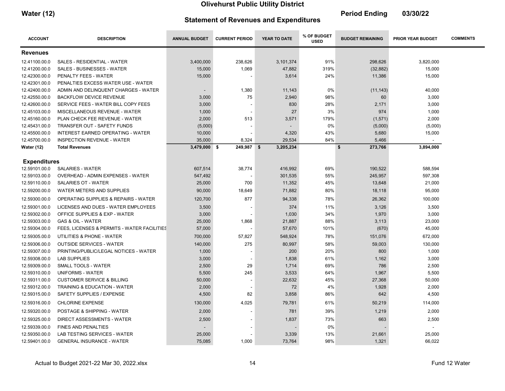| <b>Water (12)</b> | <b>Statement of Revenues and Expenditures</b> | <b>Period Ending</b> | 03/30/22 |
|-------------------|-----------------------------------------------|----------------------|----------|
|                   |                                               |                      |          |

| <b>ACCOUNT</b>      | <b>DESCRIPTION</b>                          | <b>ANNUAL BUDGET</b> | <b>CURRENT PERIOD</b> | YEAR TO DATE | % OF BUDGET<br><b>USED</b> | <b>BUDGET REMAINING</b> | <b>PRIOR YEAR BUDGET</b> | <b>COMMENTS</b> |
|---------------------|---------------------------------------------|----------------------|-----------------------|--------------|----------------------------|-------------------------|--------------------------|-----------------|
| <b>Revenues</b>     |                                             |                      |                       |              |                            |                         |                          |                 |
| 12.41100.00.0       | SALES - RESIDENTIAL - WATER                 | 3,400,000            | 238,626               | 3,101,374    | 91%                        | 298,626                 | 3,820,000                |                 |
| 12.41200.00.0       | <b>SALES - BUSINESSES - WATER</b>           | 15,000               | 1,069                 | 47,882       | 319%                       | (32, 882)               | 15,000                   |                 |
| 12.42300.00.0       | PENALTY FEES - WATER                        | 15,000               |                       | 3,614        | 24%                        | 11,386                  | 15,000                   |                 |
| 12.42301.00.0       | PENALTIES EXCESS WATER USE - WATER          |                      |                       |              |                            |                         |                          |                 |
| 12.42400.00.0       | ADMIN AND DELINQUENT CHARGES - WATER        |                      | 1,380                 | 11,143       | 0%                         | (11, 143)               | 40,000                   |                 |
| 12.42550.00.0       | <b>BACKFLOW DEVICE REVENUE</b>              | 3,000                | 75                    | 2,940        | 98%                        | 60                      | 3,000                    |                 |
| 12.42600.00.0       | SERVICE FEES - WATER BILL COPY FEES         | 3,000                |                       | 830          | 28%                        | 2,171                   | 3,000                    |                 |
| 12.45103.00.0       | MISCELLANEOUS REVENUE - WATER               | 1,000                |                       | 27           | 3%                         | 974                     | 1,000                    |                 |
| 12.45160.00.0       | PLAN CHECK FEE REVENUE - WATER              | 2,000                | 513                   | 3,571        | 179%                       | (1, 571)                | 2,000                    |                 |
| 12.45431.00.0       | <b>TRANSFER OUT - SAFETY FUNDS</b>          | (5,000)              |                       |              | 0%                         | (5,000)                 | (5,000)                  |                 |
| 12.45500.00.0       | INTEREST EARNED OPERATING - WATER           | 10,000               |                       | 4,320        | 43%                        | 5,680                   | 15,000                   |                 |
| 12.45700.00.0       | <b>INSPECTION REVENUE - WATER</b>           | 35,000               | 8,324                 | 29,534       | 84%                        | 5,466                   | $\sim$                   |                 |
| <b>Water (12)</b>   | <b>Total Revenues</b>                       | $3,479,000$ \$       | 249,987 \$            | 3,205,234    |                            | \$<br>273,766           | 3,894,000                |                 |
| <b>Expenditures</b> |                                             |                      |                       |              |                            |                         |                          |                 |
| 12.59101.00.0       | <b>SALARIES - WATER</b>                     | 607,514              | 38,774                | 416,992      | 69%                        | 190,522                 | 588,594                  |                 |
| 12.59103.00.0       | OVERHEAD - ADMIN EXPENSES - WATER           | 547,492              |                       | 301,535      | 55%                        | 245,957                 | 597,308                  |                 |
| 12.59110.00.0       | SALARIES OT - WATER                         | 25,000               | 700                   | 11,352       | 45%                        | 13,648                  | 21,000                   |                 |
| 12.59200.00.0       | WATER METERS AND SUPPLIES                   | 90,000               | 18,649                | 71,882       | 80%                        | 18,118                  | 95,000                   |                 |
| 12.59300.00.0       | OPERATING SUPPLIES & REPAIRS - WATER        | 120,700              | 877                   | 94,338       | 78%                        | 26,362                  | 100,000                  |                 |
| 12.59301.00.0       | LICENSES AND DUES - WATER EMPLOYEES         | 3,500                |                       | 374          | 11%                        | 3,126                   | 3,500                    |                 |
| 12.59302.00.0       | OFFICE SUPPLIES & EXP - WATER               | 3,000                |                       | 1,030        | 34%                        | 1,970                   | 3,000                    |                 |
| 12.59303.00.0       | <b>GAS &amp; OIL - WATER</b>                | 25,000               | 1,868                 | 21,887       | 88%                        | 3,113                   | 23,000                   |                 |
| 12.59304.00.0       | FEES, LICENSES & PERMITS - WATER FACILITIES | 57,000               |                       | 57,670       | 101%                       | (670)                   | 45,000                   |                 |
| 12.59305.00.0       | UTILITIES & PHONE - WATER                   | 700,000              | 57,827                | 548,924      | 78%                        | 151,076                 | 672,000                  |                 |
| 12.59306.00.0       | <b>OUTSIDE SERVICES - WATER</b>             | 140,000              | 275                   | 80,997       | 58%                        | 59,003                  | 130,000                  |                 |
| 12.59307.00.0       | PRINTING/PUBLIC/LEGAL NOTICES - WATER       | 1,000                |                       | 200          | 20%                        | 800                     | 1,000                    |                 |
| 12.59308.00.0       | <b>LAB SUPPLIES</b>                         | 3,000                |                       | 1,838        | 61%                        | 1,162                   | 3,000                    |                 |
| 12.59309.00.0       | SMALL TOOLS - WATER                         | 2,500                | 29                    | 1,714        | 69%                        | 786                     | 2,500                    |                 |
| 12.59310.00.0       | <b>UNIFORMS - WATER</b>                     | 5,500                | 245                   | 3,533        | 64%                        | 1,967                   | 5,500                    |                 |
| 12.59311.00.0       | <b>CUSTOMER SERVICE &amp; BILLING</b>       | 50,000               |                       | 22,632       | 45%                        | 27,368                  | 50,000                   |                 |
| 12.59312.00.0       | <b>TRAINING &amp; EDUCATION - WATER</b>     | 2,000                |                       | 72           | 4%                         | 1,928                   | 2,000                    |                 |
| 12.59315.00.0       | SAFETY SUPPLIES / EXPENSE                   | 4,500                | 82                    | 3,858        | 86%                        | 642                     | 4,500                    |                 |
| 12.59316.00.0       | <b>CHLORINE EXPENSE</b>                     | 130,000              | 4,025                 | 79,781       | 61%                        | 50,219                  | 114,000                  |                 |
| 12.59320.00.0       | POSTAGE & SHIPPING - WATER                  | 2,000                |                       | 781          | 39%                        | 1,219                   | 2,000                    |                 |
| 12.59325.00.0       | DIRECT ASSESSMENTS - WATER                  | 2,500                |                       | 1,837        | 73%                        | 663                     | 2,500                    |                 |
| 12.59339.00.0       | <b>FINES AND PENALTIES</b>                  | -                    |                       |              | 0%                         |                         |                          |                 |
| 12.59350.00.0       | LAB TESTING SERVICES - WATER                | 25,000               |                       | 3,339        | 13%                        | 21,661                  | 25,000                   |                 |
| 12.59401.00.0       | <b>GENERAL INSURANCE - WATER</b>            | 75,085               | 1,000                 | 73,764       | 98%                        | 1,321                   | 66,022                   |                 |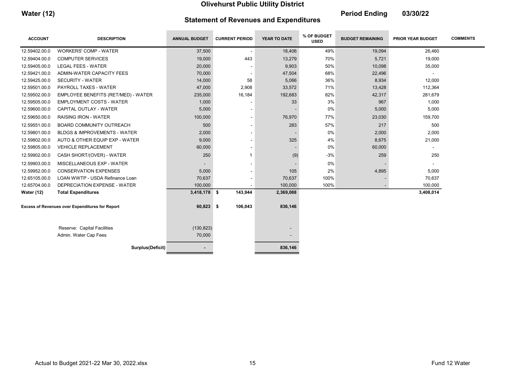Water (12) **Period Ending 03/30/22** 

| <b>Statement of Revenues and Expenditures</b> |  |
|-----------------------------------------------|--|
|-----------------------------------------------|--|

| <b>ACCOUNT</b>                                  | <b>DESCRIPTION</b>                      | <b>ANNUAL BUDGET</b> | <b>CURRENT PERIOD</b>    | YEAR TO DATE | % OF BUDGET<br><b>USED</b> | <b>BUDGET REMAINING</b> | <b>PRIOR YEAR BUDGET</b> | <b>COMMENTS</b> |
|-------------------------------------------------|-----------------------------------------|----------------------|--------------------------|--------------|----------------------------|-------------------------|--------------------------|-----------------|
| 12.59402.00.0                                   | <b>WORKERS' COMP - WATER</b>            | 37,500               | $\overline{\phantom{a}}$ | 18,406       | 49%                        | 19,094                  | 26,460                   |                 |
| 12.59404.00.0                                   | <b>COMPUTER SERVICES</b>                | 19,000               | 443                      | 13,279       | 70%                        | 5,721                   | 19,000                   |                 |
| 12.59405.00.0                                   | <b>LEGAL FEES - WATER</b>               | 20,000               |                          | 9,903        | 50%                        | 10,098                  | 35,000                   |                 |
| 12.59421.00.0                                   | ADMIN-WATER CAPACITY FEES               | 70,000               |                          | 47,504       | 68%                        | 22,496                  | $\sim$                   |                 |
| 12.59425.00.0                                   | <b>SECURITY - WATER</b>                 | 14,000               | 58                       | 5,066        | 36%                        | 8,934                   | 12,000                   |                 |
| 12.59501.00.0                                   | PAYROLL TAXES - WATER                   | 47,000               | 2,908                    | 33,572       | 71%                        | 13,428                  | 112,364                  |                 |
| 12.59502.00.0                                   | EMPLOYEE BENEFITS (RET/MED) - WATER     | 235,000              | 16,184                   | 192,683      | 82%                        | 42,317                  | 281,679                  |                 |
| 12.59505.00.0                                   | <b>EMPLOYMENT COSTS - WATER</b>         | 1,000                |                          | 33           | 3%                         | 967                     | 1,000                    |                 |
| 12.59600.00.0                                   | CAPITAL OUTLAY - WATER                  | 5,000                |                          |              | 0%                         | 5,000                   | 5,000                    |                 |
| 12.59650.00.0                                   | <b>RAISING IRON - WATER</b>             | 100,000              |                          | 76,970       | 77%                        | 23,030                  | 159,700                  |                 |
| 12.59551.00.0                                   | BOARD COMMUNITY OUTREACH                | 500                  |                          | 283          | 57%                        | 217                     | 500                      |                 |
| 12.59801.00.0                                   | <b>BLDGS &amp; IMPROVEMENTS - WATER</b> | 2,000                |                          |              | 0%                         | 2,000                   | 2,000                    |                 |
| 12.59802.00.0                                   | AUTO & OTHER EQUIP EXP - WATER          | 9,000                |                          | 325          | 4%                         | 8,675                   | 21,000                   |                 |
| 12.59805.00.0                                   | <b>VEHICLE REPLACEMENT</b>              | 60,000               |                          |              | 0%                         | 60,000                  |                          |                 |
| 12.59902.00.0                                   | CASH SHORT/(OVER) - WATER               | 250                  | $\mathbf 1$              | (9)          | $-3%$                      | 259                     | 250                      |                 |
| 12.59903.00.0                                   | MISCELLANEOUS EXP - WATER               |                      |                          |              | 0%                         |                         | $\overline{\phantom{a}}$ |                 |
| 12.59952.00.0                                   | <b>CONSERVATION EXPENSES</b>            | 5,000                |                          | 105          | 2%                         | 4,895                   | 5,000                    |                 |
| 12.65105.00.0                                   | LOAN WWTP - USDA Refinance Loan         | 70,637               |                          | 70,637       | 100%                       |                         | 70,637                   |                 |
| 12.65704.00.0                                   | DEPRECIATION EXPENSE - WATER            | 100,000              |                          | 100,000      | 100%                       |                         | 100,000                  |                 |
| <b>Water (12)</b>                               | <b>Total Expenditures</b>               | $3,418,178$ \$       | 143,944                  | 2,369,088    |                            |                         | 3,408,014                |                 |
| Excess of Revenues over Expenditures for Report |                                         | 60,823 \$            | 106,043                  | 836,146      |                            |                         |                          |                 |
|                                                 |                                         |                      |                          |              |                            |                         |                          |                 |
|                                                 | Reserve: Capital Facilities             | (130, 823)           |                          |              |                            |                         |                          |                 |
|                                                 | Admin. Water Cap Fees                   | 70,000               |                          |              |                            |                         |                          |                 |
|                                                 | Surplus(Deficit)                        |                      |                          | 836,146      |                            |                         |                          |                 |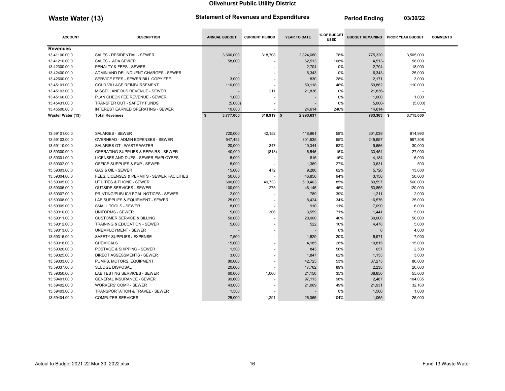Waste Water (13) Statement of Revenues and Expenditures Period Ending 03/30/22

| <b>ACCOUNT</b>    | <b>DESCRIPTION</b>                          | <b>ANNUAL BUDGET</b> | <b>CURRENT PERIOD</b>    | <b>YEAR TO DATE</b> | % OF BUDGET<br><b>USED</b> |            | <b>BUDGET REMAINING PRIOR YEAR BUDGET</b> | <b>COMMENTS</b> |
|-------------------|---------------------------------------------|----------------------|--------------------------|---------------------|----------------------------|------------|-------------------------------------------|-----------------|
| <b>Revenues</b>   |                                             |                      |                          |                     |                            |            |                                           |                 |
| 13.41100.00.0     | SALES - RESIDENTIAL - SEWER                 | 3,600,000            | 318,708                  | 2,824,680           | 78%                        | 775,320    | 3,505,000                                 |                 |
| 13.41210.00.0     | SALES - ADA SEWER                           | 58,000               |                          | 62,513              | 108%                       | 4,513-     | 58,000                                    |                 |
| 13.42300.00.0     | PENALTY & FEES - SEWER                      |                      |                          | 2,704               | 0%                         | $2,704-$   | 18,000                                    |                 |
| 13.42400.00.0     | ADMIN AND DELINQUENT CHARGES - SEWER        |                      |                          | 6,343               | 0%                         | 6,343-     | 25,000                                    |                 |
| 13.42600.00.0     | SERVICE FEES - SEWER BILL COPY FEE          | 3,000                |                          | 830                 | 28%                        | 2,171      | 3,000                                     |                 |
| 13.45101.00.0     | <b>GOLD VILLAGE REIMBURSEMENT</b>           | 110,000              |                          | 50,118              | 46%                        | 59,882     | 110,000                                   |                 |
| 13.45103.00.0     | MISCELLANEOUS REVENUE - SEWER               |                      | 211                      | 21,836              | 0%                         | 21,836-    |                                           |                 |
| 13.45160.00.0     | PLAN CHECK FEE REVENUE - SEWER              | 1,000                |                          |                     | 0%                         | 1,000      | 1,000                                     |                 |
| 13.45431.00.0     | <b>TRANSFER OUT - SAFETY FUNDS</b>          | (5,000)              |                          |                     | 0%                         | $5.000 -$  | (5,000)                                   |                 |
| 13.45500.00.0     | <b>INTEREST EARNED OPERATING - SEWER</b>    | 10,000               |                          | 24,614              | 246%                       | 14,614-    |                                           |                 |
| Waster Water (13) | <b>Total Revenues</b>                       | \$<br>3,777,000      | 318,919 \$               | 2,993,637           |                            | 783,363 \$ | 3,715,000                                 |                 |
| 13.59101.00.0     | <b>SALARIES - SEWER</b>                     | 720,000              | 42,152                   | 418,961             | 58%                        | 301,039    | 614,993                                   |                 |
| 13.59103.00.0     | OVERHEAD - ADMIN EXPENSES - SEWER           | 547,492              |                          | 301,535             | 55%                        | 245,957    | 597,308                                   |                 |
| 13.59110.00.0     | SALARIES OT - WASTE WATER                   | 20,000               | 347                      | 10,344              | 52%                        | 9,656      | 30,000                                    |                 |
| 13.59300.00.0     | OPERATING SUPPLIES & REPAIRS - SEWER        | 40.000               | (813)                    | 6,546               | 16%                        | 33.454     | 27,000                                    |                 |
| 13.59301.00.0     | LICENSES AND DUES - SEWER EMPLOYEES         | 5,000                |                          | 816                 | 16%                        | 4,184      | 5,000                                     |                 |
| 13.59302.00.0     | OFFICE SUPPLIES & EXP - SEWER               | 5,000                | $\overline{\phantom{a}}$ | 1,369               | 27%                        | 3,631      | 500                                       |                 |
| 13.59303.00.0     | GAS & OIL - SEWER                           | 15,000               | 472                      | 9.280               | 62%                        | 5,720      | 13,000                                    |                 |
| 13.59304.00.0     | FEES, LICENSES & PERMITS - SEWER FACILITIES | 50,000               |                          | 46,850              | 94%                        | 3,150      | 50,000                                    |                 |
| 13.59305.00.0     | UTILITIES & PHONE - SEWER                   | 600,000              | 49,733                   | 510,403             | 85%                        | 89,597     | 560,000                                   |                 |
| 13.59306.00.0     | <b>OUTSIDE SERVICES - SEWER</b>             | 100,000              | 275                      | 46,145              | 46%                        | 53,855     | 120,000                                   |                 |
| 13.59307.00.0     | PRINTING/PUBLIC/LEGAL NOTICES - SEWER       | 2,000                |                          | 789                 | 39%                        | 1,211      | 2,000                                     |                 |
| 13.59308.00.0     | LAB SUPPLIES & EQUIPMENT - SEWER            | 25,000               |                          | 8,424               | 34%                        | 16,576     | 25,000                                    |                 |
| 13.59309.00.0     | <b>SMALL TOOLS - SEWER</b>                  | 8,000                |                          | 910                 | 11%                        | 7,090      | 6,000                                     |                 |
| 13.59310.00.0     | UNIFORMS - SEWER                            | 5,000                | 306                      | 3,559               | 71%                        | 1,441      | 5,000                                     |                 |
| 13.59311.00.0     | <b>CUSTOMER SERVICE &amp; BILLING</b>       | 50,000               |                          | 20,000              | 40%                        | 30,000     | 50,000                                    |                 |
| 13.59312.00.0     | <b>TRAINING &amp; EDUCATION - SEWER</b>     | 5,000                |                          | 522                 | 10%                        | 4,478      | 5,000                                     |                 |
| 13.59313.00.0     | <b>UNEMPLOYMENT - SEWER</b>                 |                      |                          |                     | 0%                         | $\Omega$   | 4,000                                     |                 |
| 13.59315.00.0     | SAFETY SUPPLIES / EXPENSE                   | 7,500                |                          | 1,529               | 20%                        | 5,971      | 7,000                                     |                 |
| 13.59318.00.0     | <b>CHEMICALS</b>                            | 15,000               |                          | 4,185               | 28%                        | 10,815     | 15,000                                    |                 |
| 13.59320.00.0     | POSTAGE & SHIPPING - SEWER                  | 1,500                |                          | 843                 | 56%                        | 657        | 2,500                                     |                 |
| 13.59325.00.0     | DIRECT ASSESSMENTS - SEWER                  | 3,000                |                          | 1,847               | 62%                        | 1,153      | 3,000                                     |                 |
| 13.59333.00.0     | PUMPS, MOTORS, EQUIPMENT                    | 80,000               |                          | 42,725              | 53%                        | 37,275     | 80,000                                    |                 |
| 13.59337.00.0     | <b>SLUDGE DISPOSAL</b>                      | 20,000               |                          | 17,762              | 89%                        | 2.238      | 20,000                                    |                 |
| 13.59350.00.0     | LAB TESTING SERVICES - SEWER                | 60,000               | 1,060                    | 21,150              | 35%                        | 38,850     | 55,000                                    |                 |
| 13.59401.00.0     | <b>GENERAL INSURANCE - SEWER</b>            | 99,600               |                          | 97,113              | 98%                        | 2,487      | 104,035                                   |                 |
| 13.59402.00.0     | <b>WORKERS' COMP - SEWER</b>                | 43,000               |                          | 21,069              | 49%                        | 21,931     | 32,160                                    |                 |
| 13.59403.00.0     | <b>TRANSPORTATION &amp; TRAVEL - SEWER</b>  | 1,500                |                          |                     | 0%                         | 1,500      | 1,000                                     |                 |
| 13.59404.00.0     | <b>COMPUTER SERVICES</b>                    | 25,000               | 1,291                    | 26,065              | 104%                       | 1,065-     | 25,000                                    |                 |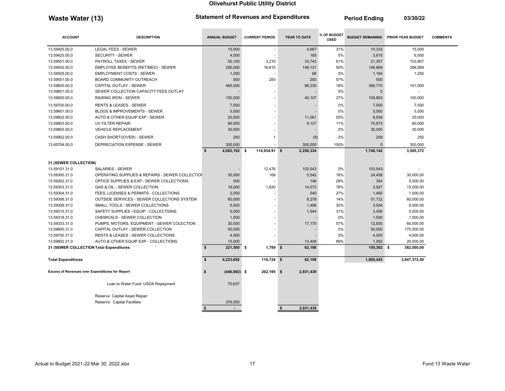Waste Water (13) Statement of Revenues and Expenditures Period Ending 03/30/22

 $\sim$ 

\_\_\_\_\_\_\_

**College** 

\_\_\_\_\_\_\_\_

| <b>ACCOUNT</b>                                         | <b>DESCRIPTION</b>                              | <b>ANNUAL BUDGET</b>  | <b>CURRENT PERIOD</b> | YEAR TO DATE    | % OF BUDGET<br><b>USED</b> | <b>BUDGET REMAINING</b> | <b>PRIOR YEAR BUDGET</b> | <b>COMMENTS</b> |
|--------------------------------------------------------|-------------------------------------------------|-----------------------|-----------------------|-----------------|----------------------------|-------------------------|--------------------------|-----------------|
| 13.59405.00.0                                          | LEGAL FEES - SEWER                              | 15,000                |                       | 4,667           | 31%                        | 10,333                  | 15,000                   |                 |
| 13.59425.00.0                                          | <b>SECURITY - SEWER</b>                         | 4,000                 |                       | 185             | 5%                         | 3,815                   | 6,000                    |                 |
| 13.59501.00.0                                          | PAYROLL TAXES - SEWER                           | 55,100                | 3,210                 | 33,743          | 61%                        | 21,357                  | 103,807                  |                 |
| 13.59502.00.0                                          | EMPLOYEE BENEFITS (RET/MED) - SEWER             | 295,000               | 16,615                | 148,131         | 50%                        | 146,869                 | 296,069                  |                 |
| 13.59505.00.0                                          | <b>EMPLOYMENT COSTS - SEWER</b>                 | 1,250                 |                       | 66              | 5%                         | 1,184                   | 1,250                    |                 |
| 13.59551.00.0                                          | BOARD COMMUNITY OUTREACH                        | 500                   | 283                   | 283             | 57%                        | 500                     |                          |                 |
| 13.59600.00.0                                          | <b>CAPITAL OUTLAY - SEWER</b>                   | 485,000               |                       | 88,230          | 18%                        | 396,770                 | 141,000                  |                 |
| 13.59601.00.0                                          | SEWER COLLECTION CAPACITY FEES OUTLAY           |                       |                       |                 | 0%                         |                         |                          |                 |
| 13.59650.00.0                                          | <b>RAISING IRON - SEWER</b>                     | 150,000               |                       | 40,107          | 27%                        | 109,893                 | 100,000                  |                 |
| 13.59700.00.0                                          | <b>RENTS &amp; LEASES - SEWER</b>               | 7,500                 |                       |                 | 0%                         | 7,500                   | 7,500                    |                 |
| 13.59801.00.0                                          | <b>BLDGS &amp; IMPROVEMENTS - SEWER</b>         | 5,000                 |                       |                 | 0%                         | 5,000                   | 5,000                    |                 |
| 13.59802.00.0                                          | AUTO & OTHER EQUIP EXP - SEWER                  | 20,000                |                       | 11,061          | 55%                        | 8,939                   | 20,000                   |                 |
| 13.59803.00.0                                          | UV FILTER REPAIR                                | 80,000                |                       | 9,127           | 11%                        | 70,873                  | 80,000                   |                 |
| 13.59805.00.0                                          | <b>VEHICLE REPLACEMENT</b>                      | 30,000                |                       |                 | 0%                         | 30,000                  | 30,000                   |                 |
| 13.59902.00.0                                          | CASH SHORT/(OVER) - SEWER                       | 250                   | 1                     | (9)             | $-3%$                      | 259                     | 250                      |                 |
| 13.65704.00.0                                          | <b>DEPRECIATION EXPENSE - SEWER</b>             | 300,000               |                       | 300,000         | 100%                       | $\Omega$                | 300,000                  |                 |
|                                                        |                                                 | 4,002,192 \$<br>\$    | 114,934.91 \$         | 2,256,334       |                            | 1,746,142               | 3,565,372                |                 |
| 31 (SEWER COLLECTION)                                  |                                                 |                       |                       |                 |                            |                         |                          |                 |
| 13.59101.31.0                                          | <b>SALARIES - SEWER</b>                         |                       | 12,476                | 103,543         | 0%                         | 103,543-                |                          |                 |
| 13.59300.31.0                                          | OPERATING SUPPLIES & REPAIRS - SEWER COLLECTION | 30,000                | 169                   | 5,542           | 18%                        | 24,458                  | 30,000.00                |                 |
| 13.59302.31.0                                          | OFFICE SUPPLIES & EXP - SEWER COLLECTIONS       | 500                   |                       | 146             | 29%                        | 354                     | 5,000.00                 |                 |
| 13.59303.31.0                                          | GAS & OIL - SEWER COLLECTION                    | 18,000                | 1,620                 | 14,073          | 78%                        | 3,927                   | 15,000.00                |                 |
| 13.59304.31.0                                          | FEES, LICENSES & PERMITS - COLLECTIONS          | 2,000                 |                       | 540             | 27%                        | 1,460                   | 1,000.00                 |                 |
| 13.59306.31.0                                          | OUTSIDE SERVICES - SEWER COLLECTIONS SYSTEM     | 60,000                |                       | 8,278           | 14%                        | 51,722                  | 60,000.00                |                 |
| 13.59309.31.0                                          | SMALL TOOLS - SEWER COLLECTIONS                 | 5,000                 |                       | 1,496           | 30%                        | 3,504                   | 5,000.00                 |                 |
| 13.59315.31.0                                          | SAFETY SUPPLIES / EQUIP - COLLECTIONS           | 5,000                 |                       | 1,544           | 31%                        | 3,456                   | 5,000.00                 |                 |
| 13.59318.31.0                                          | CHEMICALS - SEWER COLLECTION                    | 1,500                 |                       |                 | 0%                         | 1,500                   | 1,500.00                 |                 |
| 13.59333.31.0                                          | PUMPS, MOTORS, EQUIPMENT - SEWER COLECTION      | 30,000                |                       | 17,170          | 57%                        | 12,830                  | 60,000.00                |                 |
| 13.59600.31.0                                          | CAPITAL OUTLAY - SEWER COLLECTION               | 50,000                |                       |                 | 0%                         | 50,000                  | 175,000.00               |                 |
| 13.59700.31.0                                          | <b>RENTS &amp; LEASES - SEWER COLLECTIONS</b>   | 4,500                 |                       |                 | 0%                         | 4,500                   | 4,500.00                 |                 |
| 13.59802.31.0                                          | AUTO & OTHER EQUIP EXP - COLLECTIONS            | 15,000                |                       | 13,408          | 89%                        | 1,592                   | 20,000.00                |                 |
| 31 (SEWER COLLECTION Total Expenditures                |                                                 | \$<br>221.500 \$      | $1,789$ \$            | 62,198          |                            | 159,302 \$              | 382,000.00               |                 |
| <b>Total Expenditures</b>                              |                                                 | S.<br>4,223,692       | $116,724$ \$          | 62,198          |                            | 1,905,443               | 3,947,372.00             |                 |
| <b>Excess of Revenues over Expenditures for Report</b> |                                                 | $(446, 692)$ \$<br>\$ | 202,195 \$            | 2,931,439       |                            |                         |                          |                 |
|                                                        | Loan to Water Fund: USDA Repayment              | 70,637                |                       |                 |                            |                         |                          |                 |
|                                                        | Reserve Capital Asset Repair                    |                       |                       |                 |                            |                         |                          |                 |
|                                                        | Reserve: Capital Facilities                     | 376,055               |                       |                 |                            |                         |                          |                 |
|                                                        |                                                 | \$<br>$\overline{a}$  |                       | \$<br>2,931,439 |                            |                         |                          |                 |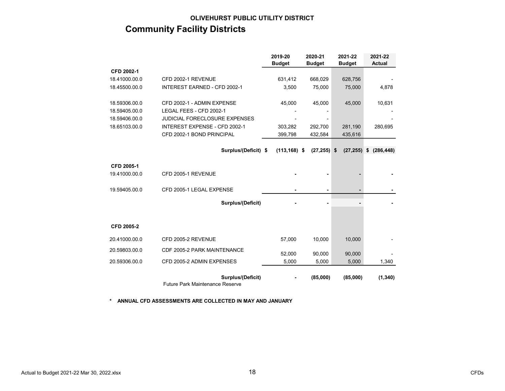# OLIVEHURST PUBLIC UTILITY DISTRICT Community Facility Districts

|               |                                                                    | 2019-20         | 2020-21        | 2021-22       | 2021-22          |
|---------------|--------------------------------------------------------------------|-----------------|----------------|---------------|------------------|
|               |                                                                    | <b>Budget</b>   | <b>Budget</b>  | <b>Budget</b> | <b>Actual</b>    |
| CFD 2002-1    |                                                                    |                 |                |               |                  |
| 18.41000.00.0 | CFD 2002-1 REVENUE                                                 | 631,412         | 668,029        | 628,756       |                  |
| 18.45500.00.0 | <b>INTEREST EARNED - CFD 2002-1</b>                                | 3,500           | 75,000         | 75,000        | 4,878            |
| 18.59306.00.0 | CFD 2002-1 - ADMIN EXPENSE                                         | 45,000          | 45,000         | 45,000        | 10,631           |
| 18.59405.00.0 | LEGAL FEES - CFD 2002-1                                            |                 |                |               |                  |
| 18.59406.00.0 | <b>JUDICIAL FORECLOSURE EXPENSES</b>                               |                 |                |               |                  |
| 18.65103.00.0 | INTEREST EXPENSE - CFD 2002-1                                      | 303,282         | 292,700        | 281,190       | 280,695          |
|               | CFD 2002-1 BOND PRINCIPAL                                          | 399,798         | 432,584        | 435,616       |                  |
|               | Surplus/(Deficit) \$                                               | $(113, 168)$ \$ | $(27, 255)$ \$ | (27, 255)     | (286, 448)<br>\$ |
|               |                                                                    |                 |                |               |                  |
| CFD 2005-1    |                                                                    |                 |                |               |                  |
| 19.41000.00.0 | CFD 2005-1 REVENUE                                                 |                 |                |               |                  |
| 19.59405.00.0 | CFD 2005-1 LEGAL EXPENSE                                           |                 |                |               |                  |
|               | Surplus/(Deficit)                                                  |                 |                |               |                  |
|               |                                                                    |                 |                |               |                  |
| CFD 2005-2    |                                                                    |                 |                |               |                  |
| 20.41000.00.0 | CFD 2005-2 REVENUE                                                 | 57,000          | 10.000         | 10,000        |                  |
| 20.59803.00.0 | CDF 2005-2 PARK MAINTENANCE                                        | 52,000          | 90,000         | 90,000        |                  |
| 20.59306.00.0 | CFD 2005-2 ADMIN EXPENSES                                          | 5,000           | 5,000          | 5,000         | 1,340            |
|               | <b>Surplus/(Deficit)</b><br><b>Future Park Maintenance Reserve</b> |                 | (85,000)       | (85,000)      | (1, 340)         |

\* ANNUAL CFD ASSESSMENTS ARE COLLECTED IN MAY AND JANUARY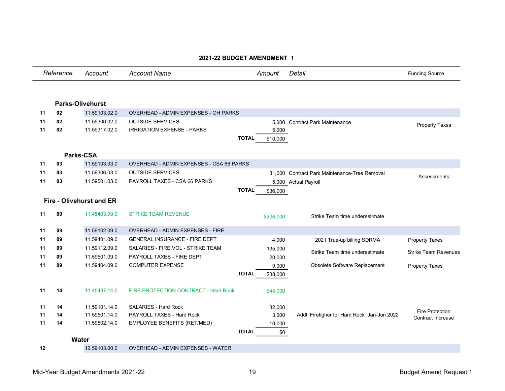|    | Reference | Account                         | <b>Account Name</b>                         |              | Amount    | Detail                                        | <b>Funding Source</b>                              |
|----|-----------|---------------------------------|---------------------------------------------|--------------|-----------|-----------------------------------------------|----------------------------------------------------|
|    |           |                                 |                                             |              |           |                                               |                                                    |
|    |           | <b>Parks-Olivehurst</b>         |                                             |              |           |                                               |                                                    |
| 11 | 02        | 11.59103.02.0                   | <b>OVERHEAD - ADMIN EXPENSES - OH PARKS</b> |              |           |                                               |                                                    |
| 11 | 02        | 11.59306.02.0                   | <b>OUTSIDE SERVICES</b>                     |              |           | 5,000 Contract Park Maintenance               |                                                    |
| 11 | 02        | 11.59317.02.0                   | <b>IRRIGATION EXPENSE - PARKS</b>           |              | 5,000     |                                               | <b>Property Taxes</b>                              |
|    |           |                                 |                                             | <b>TOTAL</b> | \$10,000  |                                               |                                                    |
|    |           |                                 |                                             |              |           |                                               |                                                    |
|    |           | Parks-CSA                       |                                             |              |           |                                               |                                                    |
| 11 | 03        | 11.59103.03.0                   | OVERHEAD - ADMIN EXPENSES - CSA 66 PARKS    |              |           |                                               |                                                    |
| 11 | 03        | 11.59306.03.0                   | <b>OUTSIDE SERVICES</b>                     |              |           | 31.000 Contract Park Maintenance-Tree Removal | Assessments                                        |
| 11 | 03        | 11.59501.03.0                   | PAYROLL TAXES - CSA 66 PARKS                |              |           | 5,000 Actual Payroll                          |                                                    |
|    |           |                                 |                                             | <b>TOTAL</b> | \$36,000  |                                               |                                                    |
|    |           | <b>Fire - Olivehurst and ER</b> |                                             |              |           |                                               |                                                    |
| 11 | 09        | 11.45403.09.0                   | <b>STRIKE TEAM REVENUE</b>                  |              | \$206.000 | Strike Team time underestimate                |                                                    |
| 11 | 09        | 11.59102.09.0                   | OVERHEAD - ADMIN EXPENSES - FIRE            |              |           |                                               |                                                    |
| 11 | 09        | 11.59401.09.0                   | <b>GENERAL INSURANCE - FIRE DEPT</b>        |              | 4,000     | 2021 True-up billing SDRMA                    | <b>Property Taxes</b>                              |
| 11 | 09        | 11.59112.09.0                   | SALARIES - FIRE VOL - STRIKE TEAM           |              | 135,000   |                                               |                                                    |
| 11 | 09        | 11.59501.09.0                   | PAYROLL TAXES - FIRE DEPT                   |              | 20,000    | Strike Team time underestimate                | <b>Strike Team Revenues</b>                        |
| 11 | 09        | 11.59404.09.0                   | <b>COMPUTER EXPENSE</b>                     |              | 9,000     | Obsolete Software Replacement                 | <b>Property Taxes</b>                              |
|    |           |                                 |                                             | <b>TOTAL</b> | \$38,000  |                                               |                                                    |
| 11 | 14        | 11.45437.14.0                   | FIRE PROTECTION CONTRACT - Hard Rock        |              | \$45,000  |                                               |                                                    |
| 11 | 14        | 11.59101.14.0                   | SALARIES - Hard Rock                        |              | 32,000    |                                               |                                                    |
| 11 | 14        | 11.59501.14.0                   | PAYROLL TAXES - Hard Rock                   |              | 3,000     | Addtl Firefigher for Hard Rock Jan-Jun 2022   | <b>Fire Protection</b><br><b>Contract Increase</b> |
| 11 | 14        | 11.59502.14.0                   | EMPLOYEE BENEFITS (RET/MED)                 |              | 10,000    |                                               |                                                    |
|    |           |                                 |                                             | <b>TOTAL</b> | \$0       |                                               |                                                    |
|    |           | Water                           |                                             |              |           |                                               |                                                    |
| 12 |           | 12.59103.00.0                   | <b>OVERHEAD - ADMIN EXPENSES - WATER</b>    |              |           |                                               |                                                    |

### 2021-22 BUDGET AMENDMENT 1